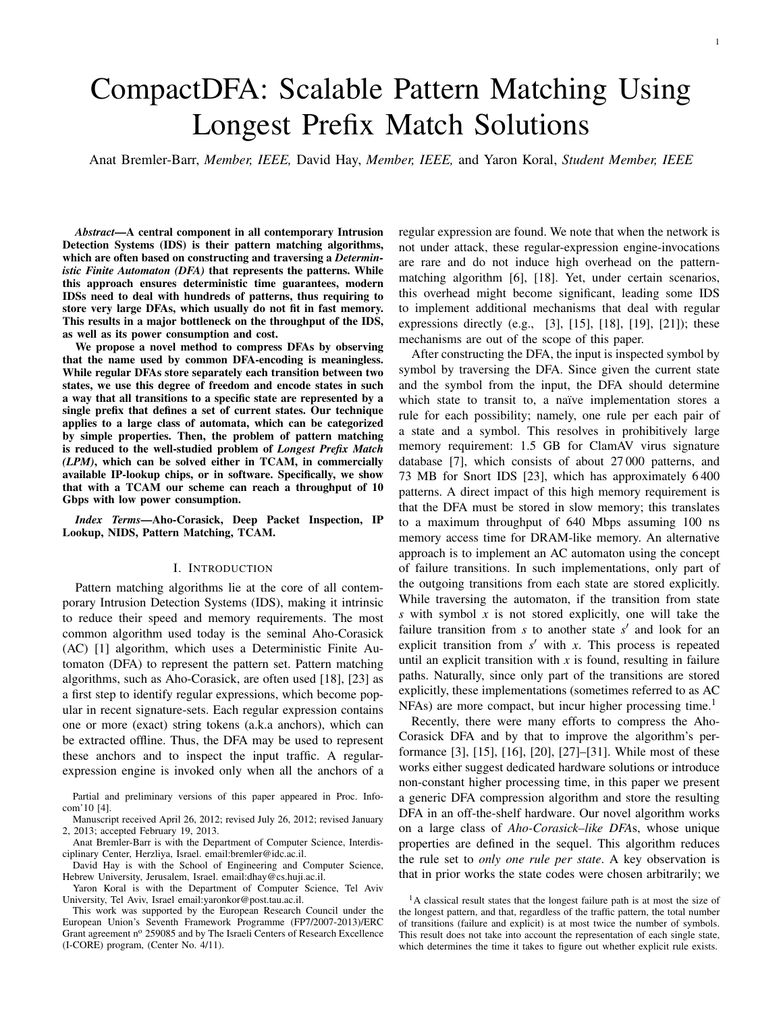# CompactDFA: Scalable Pattern Matching Using Longest Prefix Match Solutions

Anat Bremler-Barr, *Member, IEEE,* David Hay, *Member, IEEE,* and Yaron Koral, *Student Member, IEEE*

*Abstract*—A central component in all contemporary Intrusion Detection Systems (IDS) is their pattern matching algorithms, which are often based on constructing and traversing a *Deterministic Finite Automaton (DFA)* that represents the patterns. While this approach ensures deterministic time guarantees, modern IDSs need to deal with hundreds of patterns, thus requiring to store very large DFAs, which usually do not fit in fast memory. This results in a major bottleneck on the throughput of the IDS, as well as its power consumption and cost.

We propose a novel method to compress DFAs by observing that the name used by common DFA-encoding is meaningless. While regular DFAs store separately each transition between two states, we use this degree of freedom and encode states in such a way that all transitions to a specific state are represented by a single prefix that defines a set of current states. Our technique applies to a large class of automata, which can be categorized by simple properties. Then, the problem of pattern matching is reduced to the well-studied problem of *Longest Prefix Match (LPM)*, which can be solved either in TCAM, in commercially available IP-lookup chips, or in software. Specifically, we show that with a TCAM our scheme can reach a throughput of 10 Gbps with low power consumption.

*Index Terms*—Aho-Corasick, Deep Packet Inspection, IP Lookup, NIDS, Pattern Matching, TCAM.

## I. INTRODUCTION

Pattern matching algorithms lie at the core of all contemporary Intrusion Detection Systems (IDS), making it intrinsic to reduce their speed and memory requirements. The most common algorithm used today is the seminal Aho-Corasick (AC) [1] algorithm, which uses a Deterministic Finite Automaton (DFA) to represent the pattern set. Pattern matching algorithms, such as Aho-Corasick, are often used [18], [23] as a first step to identify regular expressions, which become popular in recent signature-sets. Each regular expression contains one or more (exact) string tokens (a.k.a anchors), which can be extracted offline. Thus, the DFA may be used to represent these anchors and to inspect the input traffic. A regularexpression engine is invoked only when all the anchors of a

Partial and preliminary versions of this paper appeared in Proc. Infocom'10 [4].

Anat Bremler-Barr is with the Department of Computer Science, Interdisciplinary Center, Herzliya, Israel. email:bremler@idc.ac.il.

David Hay is with the School of Engineering and Computer Science, Hebrew University, Jerusalem, Israel. email:dhay@cs.huji.ac.il.

Yaron Koral is with the Department of Computer Science, Tel Aviv University, Tel Aviv, Israel email:yaronkor@post.tau.ac.il.

regular expression are found. We note that when the network is not under attack, these regular-expression engine-invocations are rare and do not induce high overhead on the patternmatching algorithm [6], [18]. Yet, under certain scenarios, this overhead might become significant, leading some IDS to implement additional mechanisms that deal with regular expressions directly (e.g., [3], [15], [18], [19], [21]); these mechanisms are out of the scope of this paper.

After constructing the DFA, the input is inspected symbol by symbol by traversing the DFA. Since given the current state and the symbol from the input, the DFA should determine which state to transit to, a naïve implementation stores a rule for each possibility; namely, one rule per each pair of a state and a symbol. This resolves in prohibitively large memory requirement: 1.5 GB for ClamAV virus signature database [7], which consists of about 27 000 patterns, and 73 MB for Snort IDS [23], which has approximately 6 400 patterns. A direct impact of this high memory requirement is that the DFA must be stored in slow memory; this translates to a maximum throughput of 640 Mbps assuming 100 ns memory access time for DRAM-like memory. An alternative approach is to implement an AC automaton using the concept of failure transitions. In such implementations, only part of the outgoing transitions from each state are stored explicitly. While traversing the automaton, if the transition from state *s* with symbol *x* is not stored explicitly, one will take the failure transition from  $s$  to another state  $s'$  and look for an explicit transition from *s ′* with *x*. This process is repeated until an explicit transition with  $x$  is found, resulting in failure paths. Naturally, since only part of the transitions are stored explicitly, these implementations (sometimes referred to as AC NFAs) are more compact, but incur higher processing time.<sup>1</sup>

Recently, there were many efforts to compress the Aho-Corasick DFA and by that to improve the algorithm's performance [3], [15], [16], [20], [27]–[31]. While most of these works either suggest dedicated hardware solutions or introduce non-constant higher processing time, in this paper we present a generic DFA compression algorithm and store the resulting DFA in an off-the-shelf hardware. Our novel algorithm works on a large class of *Aho-Corasick–like DFA*s, whose unique properties are defined in the sequel. This algorithm reduces the rule set to *only one rule per state*. A key observation is that in prior works the state codes were chosen arbitrarily; we

Manuscript received April 26, 2012; revised July 26, 2012; revised January 2, 2013; accepted February 19, 2013.

This work was supported by the European Research Council under the European Union's Seventh Framework Programme (FP7/2007-2013)/ERC Grant agreement nº 259085 and by The Israeli Centers of Research Excellence (I-CORE) program, (Center No. 4/11).

<sup>&</sup>lt;sup>1</sup>A classical result states that the longest failure path is at most the size of the longest pattern, and that, regardless of the traffic pattern, the total number of transitions (failure and explicit) is at most twice the number of symbols. This result does not take into account the representation of each single state, which determines the time it takes to figure out whether explicit rule exists.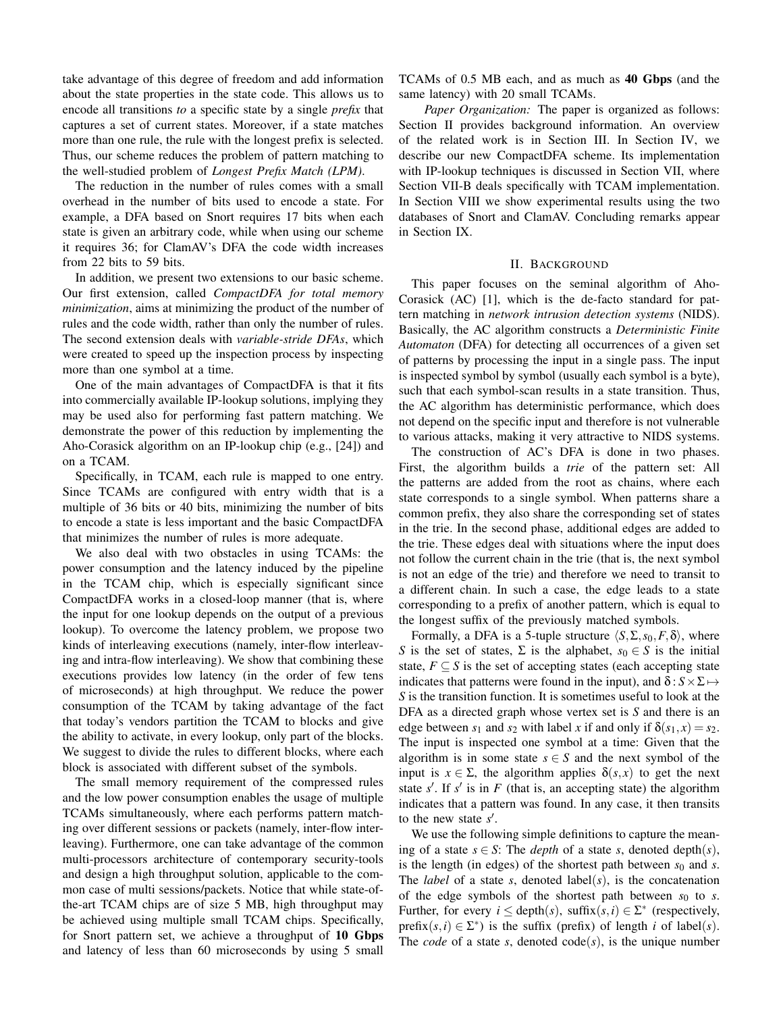take advantage of this degree of freedom and add information about the state properties in the state code. This allows us to encode all transitions *to* a specific state by a single *prefix* that captures a set of current states. Moreover, if a state matches more than one rule, the rule with the longest prefix is selected. Thus, our scheme reduces the problem of pattern matching to the well-studied problem of *Longest Prefix Match (LPM)*.

The reduction in the number of rules comes with a small overhead in the number of bits used to encode a state. For example, a DFA based on Snort requires 17 bits when each state is given an arbitrary code, while when using our scheme it requires 36; for ClamAV's DFA the code width increases from 22 bits to 59 bits.

In addition, we present two extensions to our basic scheme. Our first extension, called *CompactDFA for total memory minimization*, aims at minimizing the product of the number of rules and the code width, rather than only the number of rules. The second extension deals with *variable-stride DFAs*, which were created to speed up the inspection process by inspecting more than one symbol at a time.

One of the main advantages of CompactDFA is that it fits into commercially available IP-lookup solutions, implying they may be used also for performing fast pattern matching. We demonstrate the power of this reduction by implementing the Aho-Corasick algorithm on an IP-lookup chip (e.g., [24]) and on a TCAM.

Specifically, in TCAM, each rule is mapped to one entry. Since TCAMs are configured with entry width that is a multiple of 36 bits or 40 bits, minimizing the number of bits to encode a state is less important and the basic CompactDFA that minimizes the number of rules is more adequate.

We also deal with two obstacles in using TCAMs: the power consumption and the latency induced by the pipeline in the TCAM chip, which is especially significant since CompactDFA works in a closed-loop manner (that is, where the input for one lookup depends on the output of a previous lookup). To overcome the latency problem, we propose two kinds of interleaving executions (namely, inter-flow interleaving and intra-flow interleaving). We show that combining these executions provides low latency (in the order of few tens of microseconds) at high throughput. We reduce the power consumption of the TCAM by taking advantage of the fact that today's vendors partition the TCAM to blocks and give the ability to activate, in every lookup, only part of the blocks. We suggest to divide the rules to different blocks, where each block is associated with different subset of the symbols.

The small memory requirement of the compressed rules and the low power consumption enables the usage of multiple TCAMs simultaneously, where each performs pattern matching over different sessions or packets (namely, inter-flow interleaving). Furthermore, one can take advantage of the common multi-processors architecture of contemporary security-tools and design a high throughput solution, applicable to the common case of multi sessions/packets. Notice that while state-ofthe-art TCAM chips are of size 5 MB, high throughput may be achieved using multiple small TCAM chips. Specifically, for Snort pattern set, we achieve a throughput of 10 Gbps and latency of less than 60 microseconds by using 5 small TCAMs of 0.5 MB each, and as much as 40 Gbps (and the same latency) with 20 small TCAMs.

*Paper Organization:* The paper is organized as follows: Section II provides background information. An overview of the related work is in Section III. In Section IV, we describe our new CompactDFA scheme. Its implementation with IP-lookup techniques is discussed in Section VII, where Section VII-B deals specifically with TCAM implementation. In Section VIII we show experimental results using the two databases of Snort and ClamAV. Concluding remarks appear in Section IX.

## II. BACKGROUND

This paper focuses on the seminal algorithm of Aho-Corasick (AC) [1], which is the de-facto standard for pattern matching in *network intrusion detection systems* (NIDS). Basically, the AC algorithm constructs a *Deterministic Finite Automaton* (DFA) for detecting all occurrences of a given set of patterns by processing the input in a single pass. The input is inspected symbol by symbol (usually each symbol is a byte), such that each symbol-scan results in a state transition. Thus, the AC algorithm has deterministic performance, which does not depend on the specific input and therefore is not vulnerable to various attacks, making it very attractive to NIDS systems.

The construction of AC's DFA is done in two phases. First, the algorithm builds a *trie* of the pattern set: All the patterns are added from the root as chains, where each state corresponds to a single symbol. When patterns share a common prefix, they also share the corresponding set of states in the trie. In the second phase, additional edges are added to the trie. These edges deal with situations where the input does not follow the current chain in the trie (that is, the next symbol is not an edge of the trie) and therefore we need to transit to a different chain. In such a case, the edge leads to a state corresponding to a prefix of another pattern, which is equal to the longest suffix of the previously matched symbols.

Formally, a DFA is a 5-tuple structure  $\langle S, \Sigma, s_0, F, \delta \rangle$ , where *S* is the set of states,  $\Sigma$  is the alphabet,  $s_0 \in S$  is the initial state,  $F \subseteq S$  is the set of accepting states (each accepting state indicates that patterns were found in the input), and  $\delta$ :  $S \times \Sigma \mapsto$ *S* is the transition function. It is sometimes useful to look at the DFA as a directed graph whose vertex set is *S* and there is an edge between  $s_1$  and  $s_2$  with label *x* if and only if  $\delta(s_1, x) = s_2$ . The input is inspected one symbol at a time: Given that the algorithm is in some state  $s \in S$  and the next symbol of the input is  $x \in \Sigma$ , the algorithm applies  $\delta(s, x)$  to get the next state  $s'$ . If  $s'$  is in  $F$  (that is, an accepting state) the algorithm indicates that a pattern was found. In any case, it then transits to the new state *s ′* .

We use the following simple definitions to capture the meaning of a state *s ∈ S*: The *depth* of a state *s*, denoted depth(*s*), is the length (in edges) of the shortest path between  $s_0$  and  $s$ . The *label* of a state *s*, denoted label(*s*), is the concatenation of the edge symbols of the shortest path between  $s_0$  to  $s$ . Further, for every  $i \leq$  depth $(s)$ , suffix $(s, i) \in \Sigma^*$  (respectively, prefix $(s, i) \in \Sigma^*$ ) is the suffix (prefix) of length *i* of label $(s)$ . The *code* of a state *s*, denoted  $code(s)$ , is the unique number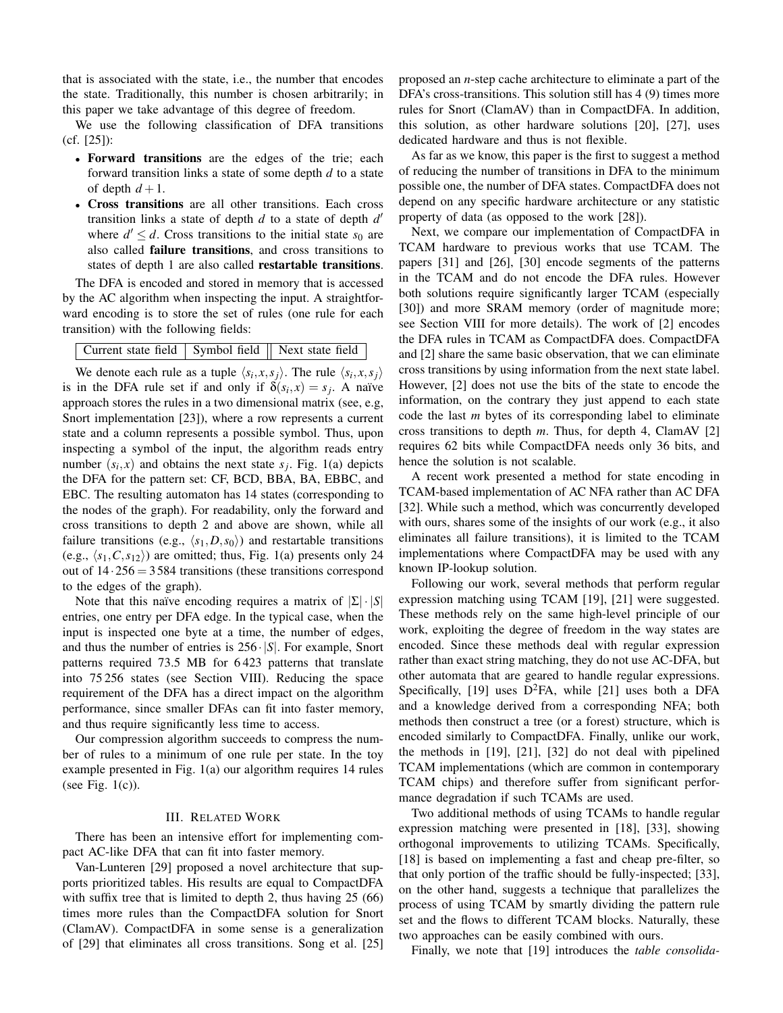that is associated with the state, i.e., the number that encodes the state. Traditionally, this number is chosen arbitrarily; in this paper we take advantage of this degree of freedom.

We use the following classification of DFA transitions (cf. [25]):

- Forward transitions are the edges of the trie; each forward transition links a state of some depth *d* to a state of depth  $d+1$ .
- *•* Cross transitions are all other transitions. Each cross transition links a state of depth *d* to a state of depth *d ′* where  $d' \leq d$ . Cross transitions to the initial state  $s_0$  are also called failure transitions, and cross transitions to states of depth 1 are also called restartable transitions.

The DFA is encoded and stored in memory that is accessed by the AC algorithm when inspecting the input. A straightforward encoding is to store the set of rules (one rule for each transition) with the following fields:

Current state field  $\parallel$  Symbol field  $\parallel$  Next state field

We denote each rule as a tuple  $\langle s_i, x, s_j \rangle$ . The rule  $\langle s_i, x, s_j \rangle$ is in the DFA rule set if and only if  $\delta(s_i, x) = s_j$ . A naïve approach stores the rules in a two dimensional matrix (see, e.g, Snort implementation [23]), where a row represents a current state and a column represents a possible symbol. Thus, upon inspecting a symbol of the input, the algorithm reads entry number  $(s_i, x)$  and obtains the next state  $s_j$ . Fig. 1(a) depicts the DFA for the pattern set: CF, BCD, BBA, BA, EBBC, and EBC. The resulting automaton has 14 states (corresponding to the nodes of the graph). For readability, only the forward and cross transitions to depth 2 and above are shown, while all failure transitions (e.g.,  $\langle s_1, D, s_0 \rangle$ ) and restartable transitions (e.g.,  $\langle s_1, C, s_{12} \rangle$ ) are omitted; thus, Fig. 1(a) presents only 24 out of 14*·*256 = 3 584 transitions (these transitions correspond to the edges of the graph).

Note that this naïve encoding requires a matrix of  $|\Sigma| \cdot |S|$ entries, one entry per DFA edge. In the typical case, when the input is inspected one byte at a time, the number of edges, and thus the number of entries is 256*·|S|*. For example, Snort patterns required 73.5 MB for 6 423 patterns that translate into 75 256 states (see Section VIII). Reducing the space requirement of the DFA has a direct impact on the algorithm performance, since smaller DFAs can fit into faster memory, and thus require significantly less time to access.

Our compression algorithm succeeds to compress the number of rules to a minimum of one rule per state. In the toy example presented in Fig. 1(a) our algorithm requires 14 rules (see Fig. 1(c)).

# III. RELATED WORK

There has been an intensive effort for implementing compact AC-like DFA that can fit into faster memory.

Van-Lunteren [29] proposed a novel architecture that supports prioritized tables. His results are equal to CompactDFA with suffix tree that is limited to depth 2, thus having 25 (66) times more rules than the CompactDFA solution for Snort (ClamAV). CompactDFA in some sense is a generalization of [29] that eliminates all cross transitions. Song et al. [25] proposed an *n*-step cache architecture to eliminate a part of the DFA's cross-transitions. This solution still has 4 (9) times more rules for Snort (ClamAV) than in CompactDFA. In addition, this solution, as other hardware solutions [20], [27], uses dedicated hardware and thus is not flexible.

As far as we know, this paper is the first to suggest a method of reducing the number of transitions in DFA to the minimum possible one, the number of DFA states. CompactDFA does not depend on any specific hardware architecture or any statistic property of data (as opposed to the work [28]).

Next, we compare our implementation of CompactDFA in TCAM hardware to previous works that use TCAM. The papers [31] and [26], [30] encode segments of the patterns in the TCAM and do not encode the DFA rules. However both solutions require significantly larger TCAM (especially [30]) and more SRAM memory (order of magnitude more; see Section VIII for more details). The work of [2] encodes the DFA rules in TCAM as CompactDFA does. CompactDFA and [2] share the same basic observation, that we can eliminate cross transitions by using information from the next state label. However, [2] does not use the bits of the state to encode the information, on the contrary they just append to each state code the last *m* bytes of its corresponding label to eliminate cross transitions to depth *m*. Thus, for depth 4, ClamAV [2] requires 62 bits while CompactDFA needs only 36 bits, and hence the solution is not scalable.

A recent work presented a method for state encoding in TCAM-based implementation of AC NFA rather than AC DFA [32]. While such a method, which was concurrently developed with ours, shares some of the insights of our work (e.g., it also eliminates all failure transitions), it is limited to the TCAM implementations where CompactDFA may be used with any known IP-lookup solution.

Following our work, several methods that perform regular expression matching using TCAM [19], [21] were suggested. These methods rely on the same high-level principle of our work, exploiting the degree of freedom in the way states are encoded. Since these methods deal with regular expression rather than exact string matching, they do not use AC-DFA, but other automata that are geared to handle regular expressions. Specifically,  $[19]$  uses D<sup>2</sup>FA, while  $[21]$  uses both a DFA and a knowledge derived from a corresponding NFA; both methods then construct a tree (or a forest) structure, which is encoded similarly to CompactDFA. Finally, unlike our work, the methods in [19], [21], [32] do not deal with pipelined TCAM implementations (which are common in contemporary TCAM chips) and therefore suffer from significant performance degradation if such TCAMs are used.

Two additional methods of using TCAMs to handle regular expression matching were presented in [18], [33], showing orthogonal improvements to utilizing TCAMs. Specifically, [18] is based on implementing a fast and cheap pre-filter, so that only portion of the traffic should be fully-inspected; [33], on the other hand, suggests a technique that parallelizes the process of using TCAM by smartly dividing the pattern rule set and the flows to different TCAM blocks. Naturally, these two approaches can be easily combined with ours.

Finally, we note that [19] introduces the *table consolida-*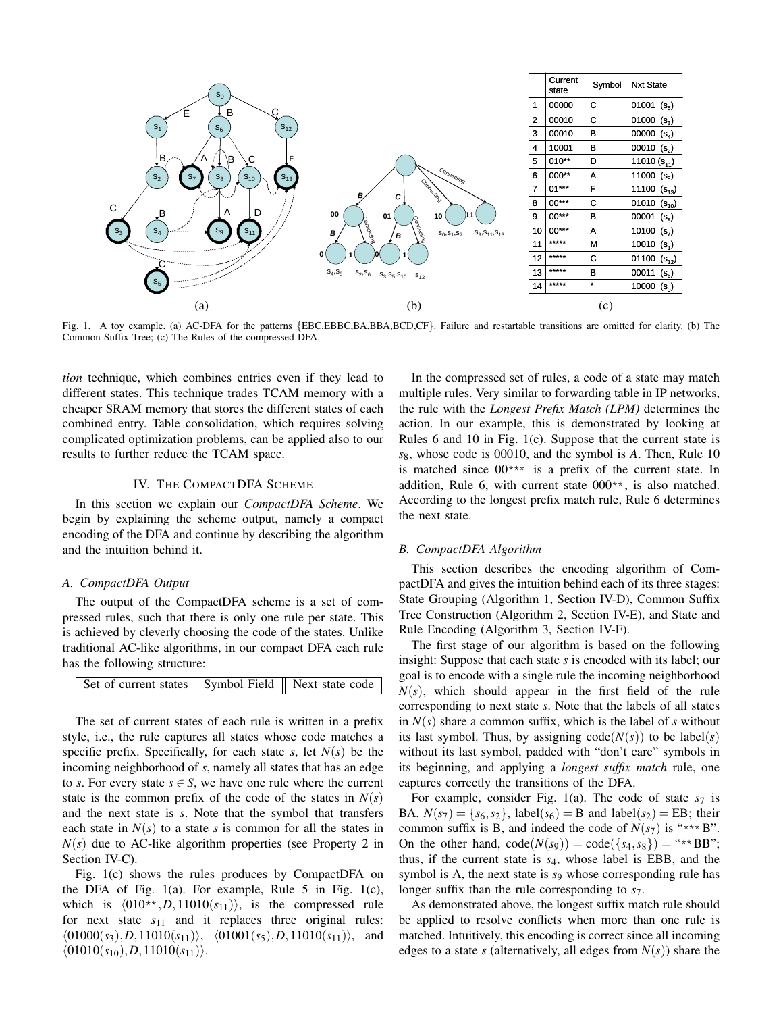

Fig. 1. A toy example. (a) AC-DFA for the patterns *{*EBC,EBBC,BA,BBA,BCD,CF*}*. Failure and restartable transitions are omitted for clarity. (b) The Common Suffix Tree; (c) The Rules of the compressed DFA.

*tion* technique, which combines entries even if they lead to different states. This technique trades TCAM memory with a cheaper SRAM memory that stores the different states of each combined entry. Table consolidation, which requires solving complicated optimization problems, can be applied also to our results to further reduce the TCAM space.

# IV. THE COMPACTDFA SCHEME

In this section we explain our *CompactDFA Scheme*. We begin by explaining the scheme output, namely a compact encoding of the DFA and continue by describing the algorithm and the intuition behind it.

## *A. CompactDFA Output*

The output of the CompactDFA scheme is a set of compressed rules, such that there is only one rule per state. This is achieved by cleverly choosing the code of the states. Unlike traditional AC-like algorithms, in our compact DFA each rule has the following structure:

| Set of current states   Symbol Field    Next state code |  |  |
|---------------------------------------------------------|--|--|
|---------------------------------------------------------|--|--|

The set of current states of each rule is written in a prefix style, i.e., the rule captures all states whose code matches a specific prefix. Specifically, for each state  $s$ , let  $N(s)$  be the incoming neighborhood of *s*, namely all states that has an edge to *s*. For every state  $s \in S$ , we have one rule where the current state is the common prefix of the code of the states in  $N(s)$ and the next state is *s*. Note that the symbol that transfers each state in  $N(s)$  to a state *s* is common for all the states in  $N(s)$  due to AC-like algorithm properties (see Property 2 in Section IV-C).

Fig. 1(c) shows the rules produces by CompactDFA on the DFA of Fig.  $1(a)$ . For example, Rule 5 in Fig.  $1(c)$ , which is  $\langle 010^{**}, D, 11010(s_{11}) \rangle$ , is the compressed rule for next state  $s_{11}$  and it replaces three original rules: *⟨*01000(*s*3)*,D,*11010(*s*11)*⟩*, *⟨*01001(*s*5)*,D,*11010(*s*11)*⟩*, and  $\langle 01010(s_{10}), D, 11010(s_{11}) \rangle$ .

In the compressed set of rules, a code of a state may match multiple rules. Very similar to forwarding table in IP networks, the rule with the *Longest Prefix Match (LPM)* determines the action. In our example, this is demonstrated by looking at Rules 6 and 10 in Fig. 1(c). Suppose that the current state is *s*8, whose code is 00010, and the symbol is *A*. Then, Rule 10 is matched since  $00^{***}$  is a prefix of the current state. In addition, Rule 6, with current state  $000**$ , is also matched. According to the longest prefix match rule, Rule 6 determines the next state.

## *B. CompactDFA Algorithm*

This section describes the encoding algorithm of CompactDFA and gives the intuition behind each of its three stages: State Grouping (Algorithm 1, Section IV-D), Common Suffix Tree Construction (Algorithm 2, Section IV-E), and State and Rule Encoding (Algorithm 3, Section IV-F).

The first stage of our algorithm is based on the following insight: Suppose that each state *s* is encoded with its label; our goal is to encode with a single rule the incoming neighborhood  $N(s)$ , which should appear in the first field of the rule corresponding to next state *s*. Note that the labels of all states in *N*(*s*) share a common suffix, which is the label of *s* without its last symbol. Thus, by assigning  $code(N(s))$  to be label(*s*) without its last symbol, padded with "don't care" symbols in its beginning, and applying a *longest suffix match* rule, one captures correctly the transitions of the DFA.

For example, consider Fig. 1(a). The code of state  $s<sub>7</sub>$  is BA.  $N(s_7) = \{s_6, s_2\}$ , label $(s_6) = B$  and label $(s_2) = EB$ ; their common suffix is B, and indeed the code of  $N(s_7)$  is "\*\*\* B". On the other hand,  $code(N(s_9)) = code(\lbrace s_4, s_8 \rbrace) = "**BB"$ ; thus, if the current state is *s*4, whose label is EBB, and the symbol is A, the next state is  $s<sub>9</sub>$  whose corresponding rule has longer suffix than the rule corresponding to *s*7.

As demonstrated above, the longest suffix match rule should be applied to resolve conflicts when more than one rule is matched. Intuitively, this encoding is correct since all incoming edges to a state *s* (alternatively, all edges from  $N(s)$ ) share the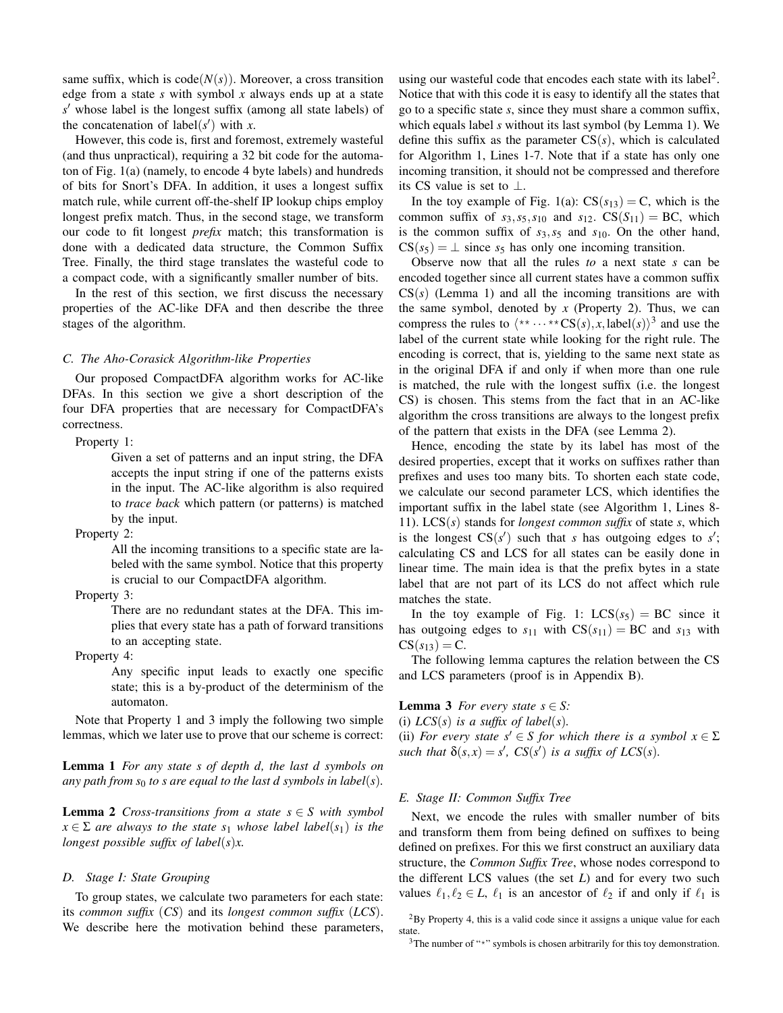same suffix, which is  $code(N(s))$ . Moreover, a cross transition edge from a state *s* with symbol *x* always ends up at a state *s ′* whose label is the longest suffix (among all state labels) of the concatenation of label( $s'$ ) with  $x$ .

However, this code is, first and foremost, extremely wasteful (and thus unpractical), requiring a 32 bit code for the automaton of Fig. 1(a) (namely, to encode 4 byte labels) and hundreds of bits for Snort's DFA. In addition, it uses a longest suffix match rule, while current off-the-shelf IP lookup chips employ longest prefix match. Thus, in the second stage, we transform our code to fit longest *prefix* match; this transformation is done with a dedicated data structure, the Common Suffix Tree. Finally, the third stage translates the wasteful code to a compact code, with a significantly smaller number of bits.

In the rest of this section, we first discuss the necessary properties of the AC-like DFA and then describe the three stages of the algorithm.

# *C. The Aho-Corasick Algorithm-like Properties*

Our proposed CompactDFA algorithm works for AC-like DFAs. In this section we give a short description of the four DFA properties that are necessary for CompactDFA's correctness.

Property 1:

Given a set of patterns and an input string, the DFA accepts the input string if one of the patterns exists in the input. The AC-like algorithm is also required to *trace back* which pattern (or patterns) is matched by the input.

Property 2:

All the incoming transitions to a specific state are labeled with the same symbol. Notice that this property is crucial to our CompactDFA algorithm.

Property 3:

There are no redundant states at the DFA. This implies that every state has a path of forward transitions to an accepting state.

Property 4:

Any specific input leads to exactly one specific state; this is a by-product of the determinism of the automaton.

Note that Property 1 and 3 imply the following two simple lemmas, which we later use to prove that our scheme is correct:

Lemma 1 *For any state s of depth d, the last d symbols on any path from*  $s_0$  *to s are equal to the last d symbols in label(s).* 

**Lemma 2** *Cross-transitions from a state*  $s \in S$  *with symbol*  $x \in \Sigma$  *are always to the state*  $s_1$  *whose label label*( $s_1$ ) *is the longest possible suffix of label*(*s*)*x.*

# *D. Stage I: State Grouping*

To group states, we calculate two parameters for each state: its *common suffix* (*CS*) and its *longest common suffix* (*LCS*). We describe here the motivation behind these parameters,

using our wasteful code that encodes each state with its label<sup>2</sup>. Notice that with this code it is easy to identify all the states that go to a specific state *s*, since they must share a common suffix, which equals label *s* without its last symbol (by Lemma 1). We define this suffix as the parameter  $CS(s)$ , which is calculated for Algorithm 1, Lines 1-7. Note that if a state has only one incoming transition, it should not be compressed and therefore its CS value is set to *⊥*.

In the toy example of Fig. 1(a):  $CS(s_{13}) = C$ , which is the common suffix of  $s_3$ ,  $s_5$ ,  $s_{10}$  and  $s_{12}$ . CS( $S_{11}$ ) = BC, which is the common suffix of  $s_3$ ,  $s_5$  and  $s_{10}$ . On the other hand,  $CS(s<sub>5</sub>) = \perp$  since *s*<sub>5</sub> has only one incoming transition.

Observe now that all the rules *to* a next state *s* can be encoded together since all current states have a common suffix  $CS(s)$  (Lemma 1) and all the incoming transitions are with the same symbol, denoted by *x* (Property 2). Thus, we can compress the rules to  $\langle \star \star \cdots \star \star \text{CS}(s), x, \text{label}(s) \rangle^3$  and use the label of the current state while looking for the right rule. The encoding is correct, that is, yielding to the same next state as in the original DFA if and only if when more than one rule is matched, the rule with the longest suffix (i.e. the longest CS) is chosen. This stems from the fact that in an AC-like algorithm the cross transitions are always to the longest prefix of the pattern that exists in the DFA (see Lemma 2).

Hence, encoding the state by its label has most of the desired properties, except that it works on suffixes rather than prefixes and uses too many bits. To shorten each state code, we calculate our second parameter LCS, which identifies the important suffix in the label state (see Algorithm 1, Lines 8- 11). LCS(*s*) stands for *longest common suffix* of state *s*, which is the longest  $CS(s')$  such that *s* has outgoing edges to  $s'$ ; calculating CS and LCS for all states can be easily done in linear time. The main idea is that the prefix bytes in a state label that are not part of its LCS do not affect which rule matches the state.

In the toy example of Fig. 1:  $LCS(s<sub>5</sub>) = BC$  since it has outgoing edges to  $s_{11}$  with  $CS(s_{11}) = BC$  and  $s_{13}$  with  $CS(s_{13}) = C.$ 

The following lemma captures the relation between the CS and LCS parameters (proof is in Appendix B).

# **Lemma 3** *For every state*  $s \in S$ *:*

(i)  $LCS(s)$  *is a suffix of label* $(s)$ *.* 

(ii) *For every state*  $s' \in S$  *for which there is a symbol*  $x \in \Sigma$ *such that*  $\delta(s, x) = s'$ ,  $CS(s')$  *is a suffix of LCS* $(s)$ *.* 

## *E. Stage II: Common Suffix Tree*

Next, we encode the rules with smaller number of bits and transform them from being defined on suffixes to being defined on prefixes. For this we first construct an auxiliary data structure, the *Common Suffix Tree*, whose nodes correspond to the different LCS values (the set *L*) and for every two such values  $\ell_1, \ell_2 \in L$ ,  $\ell_1$  is an ancestor of  $\ell_2$  if and only if  $\ell_1$  is

<sup>2</sup>By Property 4, this is a valid code since it assigns a unique value for each state.

<sup>&</sup>lt;sup>3</sup>The number of "\*" symbols is chosen arbitrarily for this toy demonstration.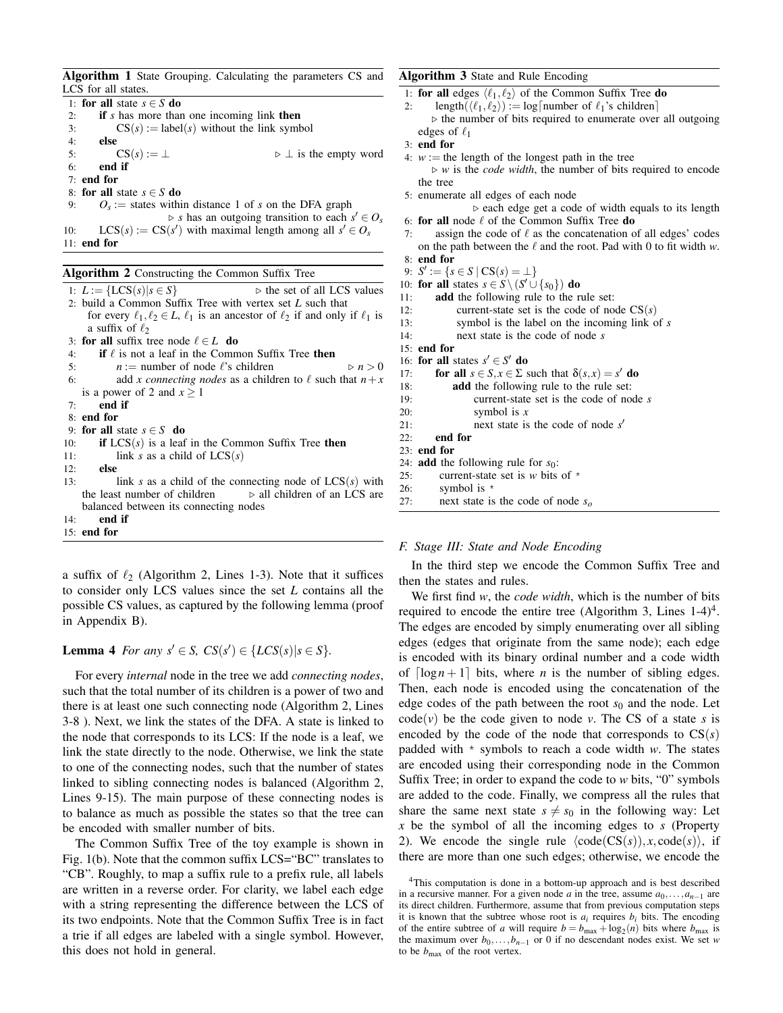Algorithm 1 State Grouping. Calculating the parameters CS and LCS for all states.

1: **for all** state  $s \in S$  **do** 2: if *s* has more than one incoming link then 3:  $CS(s) := label(s)$  without the link symbol 4: else 5:  $CS(s) := \perp$   $\triangleright \perp$  is the empty word 6: end if 7: end for 8: for all state  $s \in S$  do 9:  $O_s :=$  states within distance 1 of *s* on the DFA graph  $\triangleright$  *s* has an outgoing transition to each  $s' \in O_s$ 

10: LCS(*s*) := CS(*s'*) with maximal length among all  $s' \in O_s$  $11:$  end for

|  |  | Algorithm 2 Constructing the Common Suffix Tree |  |  |  |  |
|--|--|-------------------------------------------------|--|--|--|--|
|--|--|-------------------------------------------------|--|--|--|--|

1:  $L := \{LCS(s) | s \in S\}$   $\triangleright$  the set of all LCS values 2: build a Common Suffix Tree with vertex set *L* such that for every  $\ell_1, \ell_2 \in L$ ,  $\ell_1$  is an ancestor of  $\ell_2$  if and only if  $\ell_1$  is a suffix of  $\ell_2$ 3: **for all** suffix tree node  $\ell \in L$  **do** 4: if *ℓ* is not a leaf in the Common Suffix Tree then 5:  $n :=$  number of node  $\ell$ 's children  $\rhd n > 0$ 6: add *x connecting nodes* as a children to  $\ell$  such that  $n + x$ is a power of 2 and  $x \ge 1$ 7: end if 8: end for 9: for all state  $s \in S$  do 10: **if**  $LCS(s)$  is a leaf in the Common Suffix Tree then 11: link *s* as a child of  $LCS(s)$ 12: else 13: link *s* as a child of the connecting node of LCS(*s*) with the least number of children **▷ all children** of an LCS are balanced between its connecting nodes 14: end if

15: end for

a suffix of *ℓ*<sup>2</sup> (Algorithm 2, Lines 1-3). Note that it suffices to consider only LCS values since the set *L* contains all the possible CS values, as captured by the following lemma (proof in Appendix B).

Lemma 4 *For any*  $s' \in S$ ,  $CS(s') \in \{LCS(s)|s \in S\}$ .

For every *internal* node in the tree we add *connecting nodes*, such that the total number of its children is a power of two and there is at least one such connecting node (Algorithm 2, Lines 3-8 ). Next, we link the states of the DFA. A state is linked to the node that corresponds to its LCS: If the node is a leaf, we link the state directly to the node. Otherwise, we link the state to one of the connecting nodes, such that the number of states linked to sibling connecting nodes is balanced (Algorithm 2, Lines 9-15). The main purpose of these connecting nodes is to balance as much as possible the states so that the tree can be encoded with smaller number of bits.

The Common Suffix Tree of the toy example is shown in Fig. 1(b). Note that the common suffix LCS="BC" translates to "CB". Roughly, to map a suffix rule to a prefix rule, all labels are written in a reverse order. For clarity, we label each edge with a string representing the difference between the LCS of its two endpoints. Note that the Common Suffix Tree is in fact a trie if all edges are labeled with a single symbol. However, this does not hold in general.

#### Algorithm 3 State and Rule Encoding

|    | 1: for all edges $\langle \ell_1, \ell_2 \rangle$ of the Common Suffix Tree do    |
|----|-----------------------------------------------------------------------------------|
| 2: | length( $\langle \ell_1, \ell_2 \rangle$ ) := log[number of $\ell_1$ 's children] |

*◃* the number of bits required to enumerate over all outgoing edges of  $\ell_1$ 

4:  $w :=$  the length of the longest path in the tree

 $\triangleright$  *w* is the *code width*, the number of bits required to encode the tree

- 5: enumerate all edges of each node
- *◃* each edge get a code of width equals to its length 6: for all node *ℓ* of the Common Suffix Tree do
- 7: assign the code of *ℓ* as the concatenation of all edges' codes on the path between the *ℓ* and the root. Pad with 0 to fit width *w*. 8: end for
- 

 $9: S' := \{ s \in S \mid \text{CS}(s) = \bot \}$ 10: for all states  $s \in S \setminus (S' \cup \{s_0\})$  do

- 11: add the following rule to the rule set:
- 
- 12: current-state set is the code of node  $CS(s)$
- 13: symbol is the label on the incoming link of *s*
- 14: next state is the code of node *s*
- 15: end for
- 16: **for all** states  $s' \in S'$  **do**
- 17: **for all**  $s \in S, x \in \Sigma$  such that  $\delta(s, x) = s'$  do
- 18: add the following rule to the rule set:
- 19: current-state set is the code of node *s*
- 20: symbol is *x*
- 21: next state is the code of node *s ′*
- 22: end for
- 23: end for
- 24: **add** the following rule for  $s_0$ :<br>25: current-state set is w bits
- current-state set is  $w$  bits of  $*$
- 26: symbol is  $*$
- 27: next state is the code of node *so*

# *F. Stage III: State and Node Encoding*

In the third step we encode the Common Suffix Tree and then the states and rules.

We first find *w*, the *code width*, which is the number of bits required to encode the entire tree (Algorithm 3, Lines  $1-4$ )<sup>4</sup>. The edges are encoded by simply enumerating over all sibling edges (edges that originate from the same node); each edge is encoded with its binary ordinal number and a code width of  $\lceil \log n + 1 \rceil$  bits, where *n* is the number of sibling edges. Then, each node is encoded using the concatenation of the edge codes of the path between the root *s*<sup>0</sup> and the node. Let  $code(v)$  be the code given to node *v*. The CS of a state *s* is encoded by the code of the node that corresponds to  $CS(s)$ padded with \* symbols to reach a code width *w*. The states are encoded using their corresponding node in the Common Suffix Tree; in order to expand the code to *w* bits, "0" symbols are added to the code. Finally, we compress all the rules that share the same next state  $s \neq s_0$  in the following way: Let *x* be the symbol of all the incoming edges to *s* (Property 2). We encode the single rule  $\langle \text{code}(CS(s)), x, \text{code}(s) \rangle$ , if there are more than one such edges; otherwise, we encode the

<sup>3:</sup> end for

<sup>4</sup>This computation is done in a bottom-up approach and is best described in a recursive manner. For a given node *a* in the tree, assume  $a_0, \ldots, a_{n-1}$  are its direct children. Furthermore, assume that from previous computation steps it is known that the subtree whose root is  $a_i$  requires  $b_i$  bits. The encoding of the entire subtree of *a* will require  $b = b_{\text{max}} + \log_2(n)$  bits where  $b_{\text{max}}$  is the maximum over  $b_0, \ldots, b_{n-1}$  or 0 if no descendant nodes exist. We set *w* to be  $b_{\text{max}}$  of the root vertex.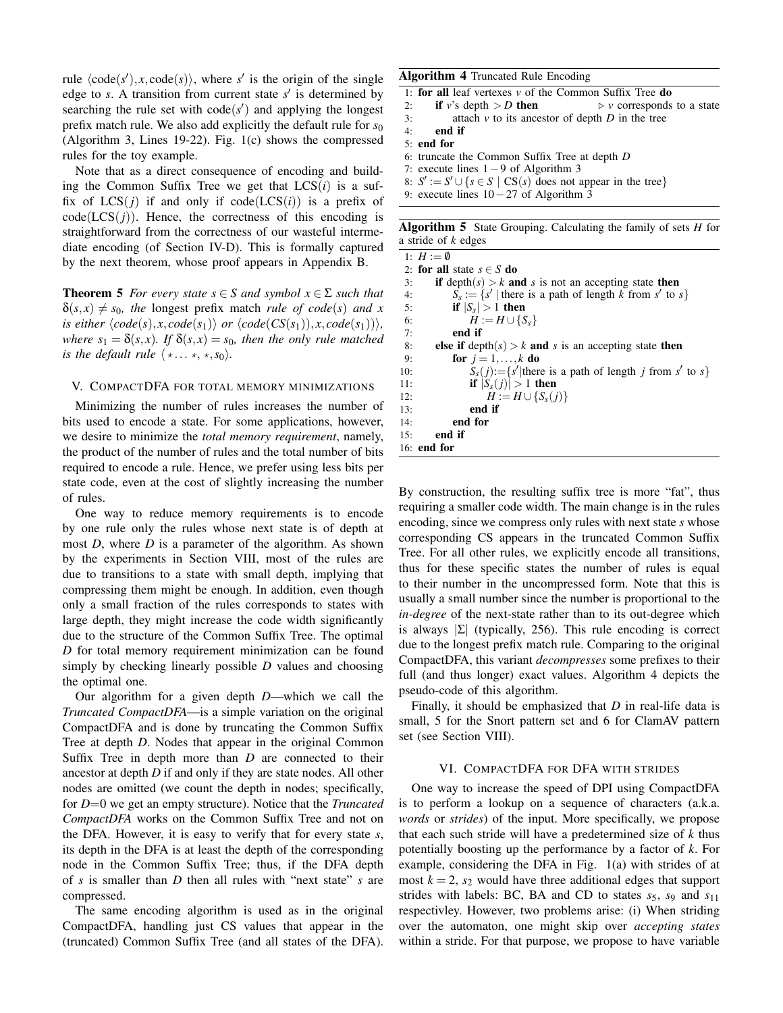rule  $\langle \text{code}(s'), x, \text{code}(s) \rangle$ , where *s'* is the origin of the single edge to *s*. A transition from current state *s ′* is determined by searching the rule set with  $code(s')$  and applying the longest prefix match rule. We also add explicitly the default rule for *s*<sup>0</sup> (Algorithm 3, Lines 19-22). Fig. 1(c) shows the compressed rules for the toy example.

Note that as a direct consequence of encoding and building the Common Suffix Tree we get that  $LCS(i)$  is a suffix of  $LCS(j)$  if and only if  $code(LCS(i))$  is a prefix of  $code(LCS(j))$ . Hence, the correctness of this encoding is straightforward from the correctness of our wasteful intermediate encoding (of Section IV-D). This is formally captured by the next theorem, whose proof appears in Appendix B.

**Theorem 5** *For every state*  $s \in S$  *and symbol*  $x \in \Sigma$  *such that*  $\delta(s, x) \neq s_0$ , the longest prefix match *rule of code*(*s*) *and x is either*  $\langle code(s), x, code(s_1) \rangle$  *or*  $\langle code(CS(s_1)), x, code(s_1) \rangle$ *, where*  $s_1 = \delta(s, x)$ *. If*  $\delta(s, x) = s_0$ *, then the only rule matched is the default rule*  $\langle *...*,*,s_0 \rangle$ *.* 

## V. COMPACTDFA FOR TOTAL MEMORY MINIMIZATIONS

Minimizing the number of rules increases the number of bits used to encode a state. For some applications, however, we desire to minimize the *total memory requirement*, namely, the product of the number of rules and the total number of bits required to encode a rule. Hence, we prefer using less bits per state code, even at the cost of slightly increasing the number of rules.

One way to reduce memory requirements is to encode by one rule only the rules whose next state is of depth at most *D*, where *D* is a parameter of the algorithm. As shown by the experiments in Section VIII, most of the rules are due to transitions to a state with small depth, implying that compressing them might be enough. In addition, even though only a small fraction of the rules corresponds to states with large depth, they might increase the code width significantly due to the structure of the Common Suffix Tree. The optimal *D* for total memory requirement minimization can be found simply by checking linearly possible *D* values and choosing the optimal one.

Our algorithm for a given depth *D*—which we call the *Truncated CompactDFA*—is a simple variation on the original CompactDFA and is done by truncating the Common Suffix Tree at depth *D*. Nodes that appear in the original Common Suffix Tree in depth more than *D* are connected to their ancestor at depth *D* if and only if they are state nodes. All other nodes are omitted (we count the depth in nodes; specifically, for *D*=0 we get an empty structure). Notice that the *Truncated CompactDFA* works on the Common Suffix Tree and not on the DFA. However, it is easy to verify that for every state *s*, its depth in the DFA is at least the depth of the corresponding node in the Common Suffix Tree; thus, if the DFA depth of *s* is smaller than *D* then all rules with "next state" *s* are compressed.

The same encoding algorithm is used as in the original CompactDFA, handling just CS values that appear in the (truncated) Common Suffix Tree (and all states of the DFA).

## Algorithm 4 Truncated Rule Encoding

1: **for all** leaf vertexes  $v$  of the Common Suffix Tree **do** 2: **if**  $v$ 's depth  $> D$  **then**  $\triangleright v$  corresponds

2: if *v*'s depth  $> D$  then  $\rhd \nu$  corresponds to a state

3: attach *v* to its ancestor of depth *D* in the tree

- 4: end if
- 5: end for
- 6: truncate the Common Suffix Tree at depth *D*
- 7: execute lines 1*−*9 of Algorithm 3
- 8:  $S' := S' \cup \{ s \in S \mid \text{CS}(s) \text{ does not appear in the tree} \}$
- 9: execute lines 10*−*27 of Algorithm 3

Algorithm 5 State Grouping. Calculating the family of sets *H* for a stride of *k* edges

|     | 1: $H := \emptyset$                                                                     |
|-----|-----------------------------------------------------------------------------------------|
|     | 2: for all state $s \in S$ do                                                           |
| 3:  | if $depth(s) > k$ and s is not an accepting state then                                  |
| 4:  | $S_s := \{s' \mid \text{there is a path of length } k \text{ from } s' \text{ to } s\}$ |
| 5:  | if $ S_s  > 1$ then                                                                     |
| 6:  | $H := H \cup \{S_s\}$                                                                   |
| 7:  | end if                                                                                  |
| 8:  | else if $depth(s) > k$ and s is an accepting state then                                 |
| 9:  | for $j = 1, \ldots, k$ do                                                               |
| 10: | $S_s(j) := \{s'   \text{there is a path of length } j \text{ from } s' \text{ to } s\}$ |
| 11: | <b>if</b> $ S_s(i)  > 1$ then                                                           |
| 12: | $H := H \cup \{S_s(j)\}\$                                                               |
| 13: | end if                                                                                  |
| 14: | end for                                                                                 |
| 15: | end if                                                                                  |
|     | $16:$ end for                                                                           |

By construction, the resulting suffix tree is more "fat", thus requiring a smaller code width. The main change is in the rules encoding, since we compress only rules with next state *s* whose corresponding CS appears in the truncated Common Suffix Tree. For all other rules, we explicitly encode all transitions, thus for these specific states the number of rules is equal to their number in the uncompressed form. Note that this is usually a small number since the number is proportional to the *in-degree* of the next-state rather than to its out-degree which is always *|*Σ*|* (typically, 256). This rule encoding is correct due to the longest prefix match rule. Comparing to the original CompactDFA, this variant *decompresses* some prefixes to their full (and thus longer) exact values. Algorithm 4 depicts the pseudo-code of this algorithm.

Finally, it should be emphasized that *D* in real-life data is small, 5 for the Snort pattern set and 6 for ClamAV pattern set (see Section VIII).

# VI. COMPACTDFA FOR DFA WITH STRIDES

One way to increase the speed of DPI using CompactDFA is to perform a lookup on a sequence of characters (a.k.a. *words* or *strides*) of the input. More specifically, we propose that each such stride will have a predetermined size of *k* thus potentially boosting up the performance by a factor of *k*. For example, considering the DFA in Fig. 1(a) with strides of at most  $k = 2$ ,  $s_2$  would have three additional edges that support strides with labels: BC, BA and CD to states  $s_5$ ,  $s_9$  and  $s_{11}$ respectivley. However, two problems arise: (i) When striding over the automaton, one might skip over *accepting states* within a stride. For that purpose, we propose to have variable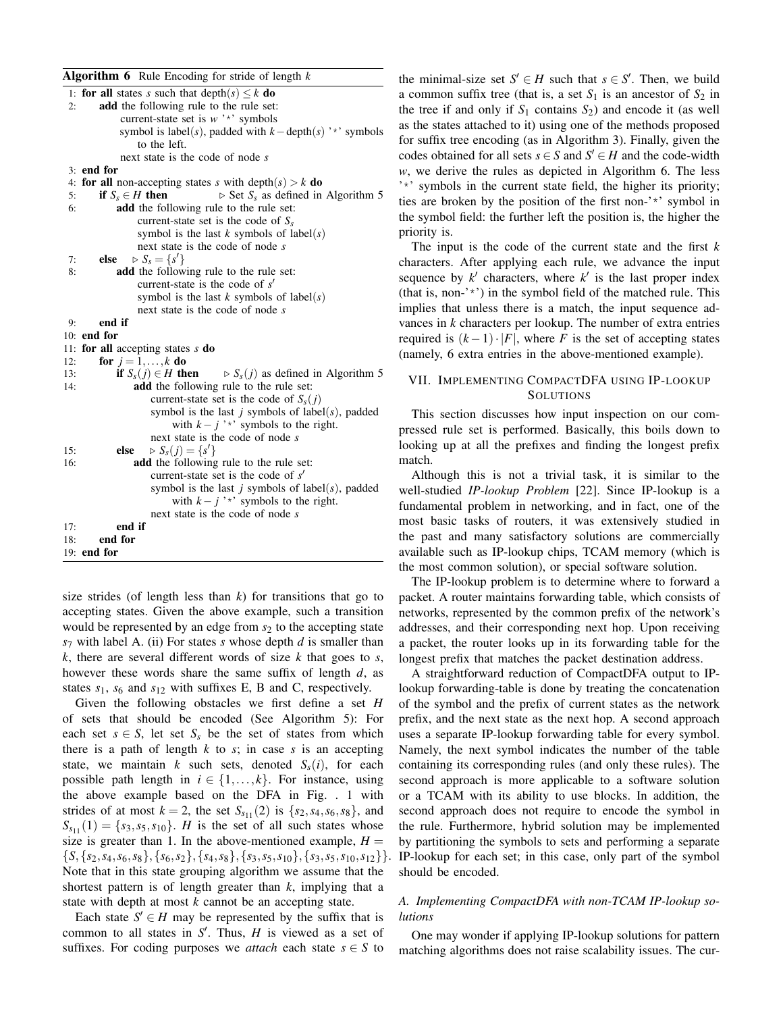# Algorithm 6 Rule Encoding for stride of length *k*

| symbol is label(s), padded with $k$ – depth(s) '*' symbols |
|------------------------------------------------------------|
|                                                            |
|                                                            |
|                                                            |
|                                                            |
| $\triangleright$ Set $S_s$ as defined in Algorithm 5       |
|                                                            |
|                                                            |
|                                                            |
|                                                            |
|                                                            |
|                                                            |
|                                                            |
|                                                            |
|                                                            |
|                                                            |
|                                                            |
|                                                            |
|                                                            |
| if $S_s(j) \in H$ then $S_s(j)$ as defined in Algorithm 5  |
|                                                            |
|                                                            |
| symbol is the last $j$ symbols of label $(s)$ , padded     |
|                                                            |
|                                                            |
|                                                            |
|                                                            |
|                                                            |
| symbol is the last $j$ symbols of label( $s$ ), padded     |
|                                                            |
|                                                            |
|                                                            |
|                                                            |
|                                                            |
|                                                            |

size strides (of length less than  $k$ ) for transitions that go to accepting states. Given the above example, such a transition would be represented by an edge from  $s_2$  to the accepting state *s*<sup>7</sup> with label A. (ii) For states *s* whose depth *d* is smaller than *k*, there are several different words of size *k* that goes to *s*, however these words share the same suffix of length *d*, as states  $s_1$ ,  $s_6$  and  $s_{12}$  with suffixes E, B and C, respectively.

Given the following obstacles we first define a set *H* of sets that should be encoded (See Algorithm 5): For each set  $s \in S$ , let set  $S_s$  be the set of states from which there is a path of length  $k$  to  $s$ ; in case  $s$  is an accepting state, we maintain *k* such sets, denoted  $S<sub>s</sub>(i)$ , for each possible path length in  $i \in \{1, ..., k\}$ . For instance, using the above example based on the DFA in Fig. . 1 with strides of at most  $k = 2$ , the set  $S_{s_{11}}(2)$  is  $\{s_2, s_4, s_6, s_8\}$ , and  $S_{s_{11}}(1) = \{s_3, s_5, s_{10}\}\$ . *H* is the set of all such states whose size is greater than 1. In the above-mentioned example,  $H =$  $\{S, \{s_2, s_4, s_6, s_8\}, \{s_6, s_2\}, \{s_4, s_8\}, \{s_3, s_5, s_{10}\}, \{s_3, s_5, s_{10}, s_{12}\}\}.$ Note that in this state grouping algorithm we assume that the shortest pattern is of length greater than *k*, implying that a state with depth at most *k* cannot be an accepting state.

Each state  $S' \in H$  may be represented by the suffix that is common to all states in *S ′* . Thus, *H* is viewed as a set of suffixes. For coding purposes we *attach* each state  $s \in S$  to

the minimal-size set  $S' \in H$  such that  $s \in S'$ . Then, we build a common suffix tree (that is, a set  $S_1$  is an ancestor of  $S_2$  in the tree if and only if  $S_1$  contains  $S_2$ ) and encode it (as well as the states attached to it) using one of the methods proposed for suffix tree encoding (as in Algorithm 3). Finally, given the codes obtained for all sets  $s \in S$  and  $S' \in H$  and the code-width *w*, we derive the rules as depicted in Algorithm 6. The less '\*' symbols in the current state field, the higher its priority; ties are broken by the position of the first non-'\*' symbol in the symbol field: the further left the position is, the higher the priority is.

The input is the code of the current state and the first *k* characters. After applying each rule, we advance the input sequence by  $k'$  characters, where  $k'$  is the last proper index (that is, non-'\*') in the symbol field of the matched rule. This implies that unless there is a match, the input sequence advances in *k* characters per lookup. The number of extra entries required is  $(k-1)$ *·*|*F*|, where *F* is the set of accepting states (namely, 6 extra entries in the above-mentioned example).

# VII. IMPLEMENTING COMPACTDFA USING IP-LOOKUP **SOLUTIONS**

This section discusses how input inspection on our compressed rule set is performed. Basically, this boils down to looking up at all the prefixes and finding the longest prefix match.

Although this is not a trivial task, it is similar to the well-studied *IP-lookup Problem* [22]. Since IP-lookup is a fundamental problem in networking, and in fact, one of the most basic tasks of routers, it was extensively studied in the past and many satisfactory solutions are commercially available such as IP-lookup chips, TCAM memory (which is the most common solution), or special software solution.

The IP-lookup problem is to determine where to forward a packet. A router maintains forwarding table, which consists of networks, represented by the common prefix of the network's addresses, and their corresponding next hop. Upon receiving a packet, the router looks up in its forwarding table for the longest prefix that matches the packet destination address.

A straightforward reduction of CompactDFA output to IPlookup forwarding-table is done by treating the concatenation of the symbol and the prefix of current states as the network prefix, and the next state as the next hop. A second approach uses a separate IP-lookup forwarding table for every symbol. Namely, the next symbol indicates the number of the table containing its corresponding rules (and only these rules). The second approach is more applicable to a software solution or a TCAM with its ability to use blocks. In addition, the second approach does not require to encode the symbol in the rule. Furthermore, hybrid solution may be implemented by partitioning the symbols to sets and performing a separate IP-lookup for each set; in this case, only part of the symbol should be encoded.

# *A. Implementing CompactDFA with non-TCAM IP-lookup solutions*

One may wonder if applying IP-lookup solutions for pattern matching algorithms does not raise scalability issues. The cur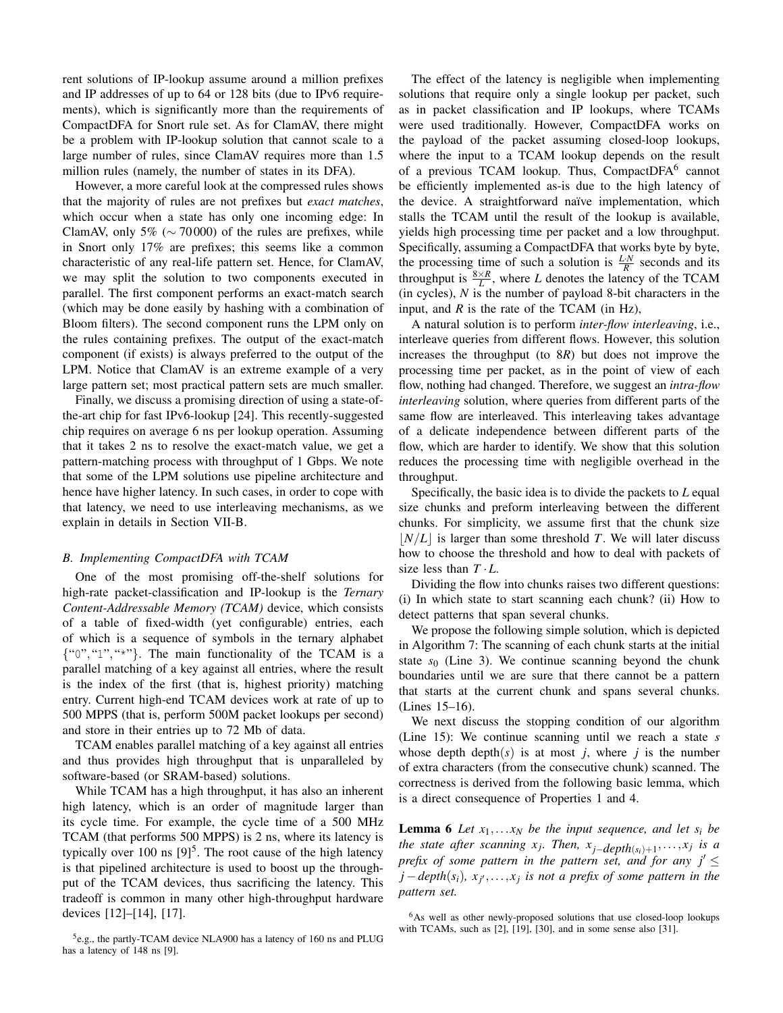rent solutions of IP-lookup assume around a million prefixes and IP addresses of up to 64 or 128 bits (due to IPv6 requirements), which is significantly more than the requirements of CompactDFA for Snort rule set. As for ClamAV, there might be a problem with IP-lookup solution that cannot scale to a large number of rules, since ClamAV requires more than 1.5 million rules (namely, the number of states in its DFA).

However, a more careful look at the compressed rules shows that the majority of rules are not prefixes but *exact matches*, which occur when a state has only one incoming edge: In ClamAV, only 5% ( $\sim$  70000) of the rules are prefixes, while in Snort only 17% are prefixes; this seems like a common characteristic of any real-life pattern set. Hence, for ClamAV, we may split the solution to two components executed in parallel. The first component performs an exact-match search (which may be done easily by hashing with a combination of Bloom filters). The second component runs the LPM only on the rules containing prefixes. The output of the exact-match component (if exists) is always preferred to the output of the LPM. Notice that ClamAV is an extreme example of a very large pattern set; most practical pattern sets are much smaller.

Finally, we discuss a promising direction of using a state-ofthe-art chip for fast IPv6-lookup [24]. This recently-suggested chip requires on average 6 ns per lookup operation. Assuming that it takes 2 ns to resolve the exact-match value, we get a pattern-matching process with throughput of 1 Gbps. We note that some of the LPM solutions use pipeline architecture and hence have higher latency. In such cases, in order to cope with that latency, we need to use interleaving mechanisms, as we explain in details in Section VII-B.

## *B. Implementing CompactDFA with TCAM*

One of the most promising off-the-shelf solutions for high-rate packet-classification and IP-lookup is the *Ternary Content-Addressable Memory (TCAM)* device, which consists of a table of fixed-width (yet configurable) entries, each of which is a sequence of symbols in the ternary alphabet *{*"0"*,* "1"*,* "\*"*}*. The main functionality of the TCAM is a parallel matching of a key against all entries, where the result is the index of the first (that is, highest priority) matching entry. Current high-end TCAM devices work at rate of up to 500 MPPS (that is, perform 500M packet lookups per second) and store in their entries up to 72 Mb of data.

TCAM enables parallel matching of a key against all entries and thus provides high throughput that is unparalleled by software-based (or SRAM-based) solutions.

While TCAM has a high throughput, it has also an inherent high latency, which is an order of magnitude larger than its cycle time. For example, the cycle time of a 500 MHz TCAM (that performs 500 MPPS) is 2 ns, where its latency is typically over 100 ns  $[9]^{5}$ . The root cause of the high latency is that pipelined architecture is used to boost up the throughput of the TCAM devices, thus sacrificing the latency. This tradeoff is common in many other high-throughput hardware devices [12]–[14], [17].

The effect of the latency is negligible when implementing solutions that require only a single lookup per packet, such as in packet classification and IP lookups, where TCAMs were used traditionally. However, CompactDFA works on the payload of the packet assuming closed-loop lookups, where the input to a TCAM lookup depends on the result of a previous TCAM lookup. Thus, CompactDFA<sup>6</sup> cannot be efficiently implemented as-is due to the high latency of the device. A straightforward naïve implementation, which stalls the TCAM until the result of the lookup is available, yields high processing time per packet and a low throughput. Specifically, assuming a CompactDFA that works byte by byte, the processing time of such a solution is  $\frac{LN}{R}$  seconds and its throughput is  $\frac{8 \times R}{L}$ , where *L* denotes the latency of the TCAM (in cycles), *N* is the number of payload 8-bit characters in the input, and *R* is the rate of the TCAM (in Hz),

A natural solution is to perform *inter-flow interleaving*, i.e., interleave queries from different flows. However, this solution increases the throughput (to 8*R*) but does not improve the processing time per packet, as in the point of view of each flow, nothing had changed. Therefore, we suggest an *intra-flow interleaving* solution, where queries from different parts of the same flow are interleaved. This interleaving takes advantage of a delicate independence between different parts of the flow, which are harder to identify. We show that this solution reduces the processing time with negligible overhead in the throughput.

Specifically, the basic idea is to divide the packets to *L* equal size chunks and preform interleaving between the different chunks. For simplicity, we assume first that the chunk size  $|N/L|$  is larger than some threshold *T*. We will later discuss how to choose the threshold and how to deal with packets of size less than *T · L*.

Dividing the flow into chunks raises two different questions: (i) In which state to start scanning each chunk? (ii) How to detect patterns that span several chunks.

We propose the following simple solution, which is depicted in Algorithm 7: The scanning of each chunk starts at the initial state  $s_0$  (Line 3). We continue scanning beyond the chunk boundaries until we are sure that there cannot be a pattern that starts at the current chunk and spans several chunks. (Lines 15–16).

We next discuss the stopping condition of our algorithm (Line 15): We continue scanning until we reach a state *s* whose depth depth $(s)$  is at most *j*, where *j* is the number of extra characters (from the consecutive chunk) scanned. The correctness is derived from the following basic lemma, which is a direct consequence of Properties 1 and 4.

**Lemma 6** Let  $x_1, \ldots x_N$  be the input sequence, and let  $s_i$  be *the state after scanning x<sub>j</sub></sub>. Then,*  $x_j$ *<sub><i>−*</sub> $depth(s_i)$ +1</sub>,..., $x_j$  *is a prefix of some pattern in the pattern set, and for any*  $j' \leq$ *j −depth*(*si*)*, x <sup>j</sup> ′,..., x<sup>j</sup> is not a prefix of some pattern in the pattern set.*

<sup>5</sup> e.g., the partly-TCAM device NLA900 has a latency of 160 ns and PLUG has a latency of 148 ns [9].

<sup>6</sup>As well as other newly-proposed solutions that use closed-loop lookups with TCAMs, such as [2], [19], [30], and in some sense also [31].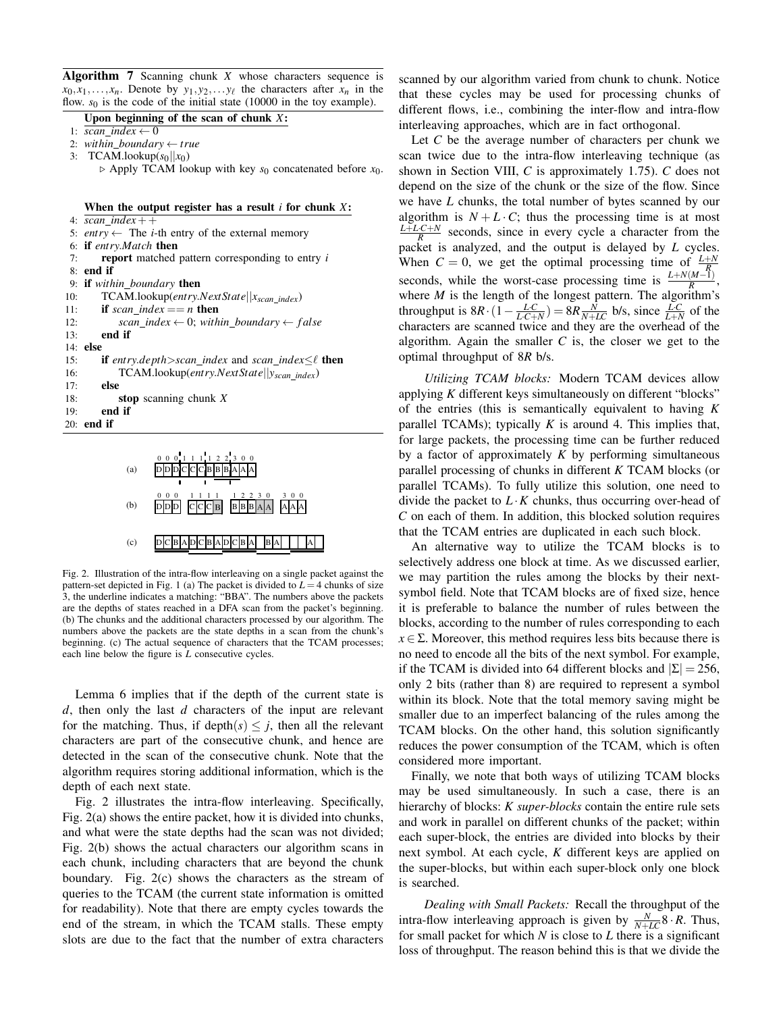Algorithm 7 Scanning chunk *X* whose characters sequence is  $x_0, x_1, \ldots, x_n$ . Denote by  $y_1, y_2, \ldots, y_\ell$  the characters after  $x_n$  in the flow.  $s_0$  is the code of the initial state (10000 in the toy example).

Upon beginning of the scan of chunk *X*:

1: *scan index*  $\leftarrow$  0

- 2: *within boundary ← true*
- 3: TCAM.lookup(*s*0*||x*0)
	- $\triangleright$  Apply TCAM lookup with key  $s_0$  concatenated before  $x_0$ .

#### When the output register has a result *i* for chunk *X*:

- 4:  $\bar{c}$ *scan*  $\bar{i}$ *ndex* + + 5:  $entry \leftarrow$  The *i*-th entry of the external memory 6: if *entry.Match* then
- 7: report matched pattern corresponding to entry *i* 8: end if 9: if *within boundary* then 10: TCAM.lookup(*entry.NextState||x<sub>scan\_index*)<br>11: **if** *scan\_index* == *n* **then**</sub> if  $scan\_index == n$  then 12:  $scan\_index \leftarrow 0; within\_boundary \leftarrow false$  $13:$  end if 14: else 15: if *entry.depth>scan index* and *scan index≤ℓ* then 16: TCAM.lookup(*entry.NextState||yscan index*) 17: else 18: stop scanning chunk *X* 19: end if 20: end if



Fig. 2. Illustration of the intra-flow interleaving on a single packet against the pattern-set depicted in Fig. 1 (a) The packet is divided to  $L = 4$  chunks of size 3, the underline indicates a matching: "BBA". The numbers above the packets are the depths of states reached in a DFA scan from the packet's beginning. (b) The chunks and the additional characters processed by our algorithm. The numbers above the packets are the state depths in a scan from the chunk's beginning. (c) The actual sequence of characters that the TCAM processes; each line below the figure is *L* consecutive cycles.

Lemma 6 implies that if the depth of the current state is *d*, then only the last *d* characters of the input are relevant for the matching. Thus, if depth $(s) \leq j$ , then all the relevant characters are part of the consecutive chunk, and hence are detected in the scan of the consecutive chunk. Note that the algorithm requires storing additional information, which is the depth of each next state.

Fig. 2 illustrates the intra-flow interleaving. Specifically, Fig. 2(a) shows the entire packet, how it is divided into chunks, and what were the state depths had the scan was not divided; Fig. 2(b) shows the actual characters our algorithm scans in each chunk, including characters that are beyond the chunk boundary. Fig. 2(c) shows the characters as the stream of queries to the TCAM (the current state information is omitted for readability). Note that there are empty cycles towards the end of the stream, in which the TCAM stalls. These empty slots are due to the fact that the number of extra characters

scanned by our algorithm varied from chunk to chunk. Notice that these cycles may be used for processing chunks of different flows, i.e., combining the inter-flow and intra-flow interleaving approaches, which are in fact orthogonal.

Let *C* be the average number of characters per chunk we scan twice due to the intra-flow interleaving technique (as shown in Section VIII, *C* is approximately 1*.*75). *C* does not depend on the size of the chunk or the size of the flow. Since we have *L* chunks, the total number of bytes scanned by our algorithm is  $N + L \cdot C$ ; thus the processing time is at most  $\frac{L + L + C}{R}$  seconds, since in every cycle a character from the packet is analyzed, and the output is delayed by *L* cycles. When  $C = 0$ , we get the optimal processing time of  $\frac{L+N}{R}$ when  $C = 0$ , we get the optimal processing time is  $\frac{L+N(M-1)}{R}$ , seconds, while the worst-case processing time is  $\frac{L+N(M-1)}{R}$ , where *M* is the length of the longest pattern. The algorithm's throughput is  $8R \cdot (1 - \frac{LC}{L \cdot C + N}) = 8R \frac{N}{N + LC}$  b/s, since  $\frac{LC}{L + N}$  of the characters are scanned twice and they are the overhead of the algorithm. Again the smaller *C* is, the closer we get to the optimal throughput of 8*R* b/s.

*Utilizing TCAM blocks:* Modern TCAM devices allow applying *K* different keys simultaneously on different "blocks" of the entries (this is semantically equivalent to having *K* parallel TCAMs); typically *K* is around 4. This implies that, for large packets, the processing time can be further reduced by a factor of approximately *K* by performing simultaneous parallel processing of chunks in different *K* TCAM blocks (or parallel TCAMs). To fully utilize this solution, one need to divide the packet to  $L \cdot K$  chunks, thus occurring over-head of *C* on each of them. In addition, this blocked solution requires that the TCAM entries are duplicated in each such block.

An alternative way to utilize the TCAM blocks is to selectively address one block at time. As we discussed earlier, we may partition the rules among the blocks by their nextsymbol field. Note that TCAM blocks are of fixed size, hence it is preferable to balance the number of rules between the blocks, according to the number of rules corresponding to each  $x \in \Sigma$ . Moreover, this method requires less bits because there is no need to encode all the bits of the next symbol. For example, if the TCAM is divided into 64 different blocks and *|*Σ*|* = 256, only 2 bits (rather than 8) are required to represent a symbol within its block. Note that the total memory saving might be smaller due to an imperfect balancing of the rules among the TCAM blocks. On the other hand, this solution significantly reduces the power consumption of the TCAM, which is often considered more important.

Finally, we note that both ways of utilizing TCAM blocks may be used simultaneously. In such a case, there is an hierarchy of blocks: *K super-blocks* contain the entire rule sets and work in parallel on different chunks of the packet; within each super-block, the entries are divided into blocks by their next symbol. At each cycle, *K* different keys are applied on the super-blocks, but within each super-block only one block is searched.

*Dealing with Small Packets:* Recall the throughput of the intra-flow interleaving approach is given by  $\frac{N}{N+LC}8 \cdot R$ . Thus, for small packet for which *N* is close to *L* there is a significant loss of throughput. The reason behind this is that we divide the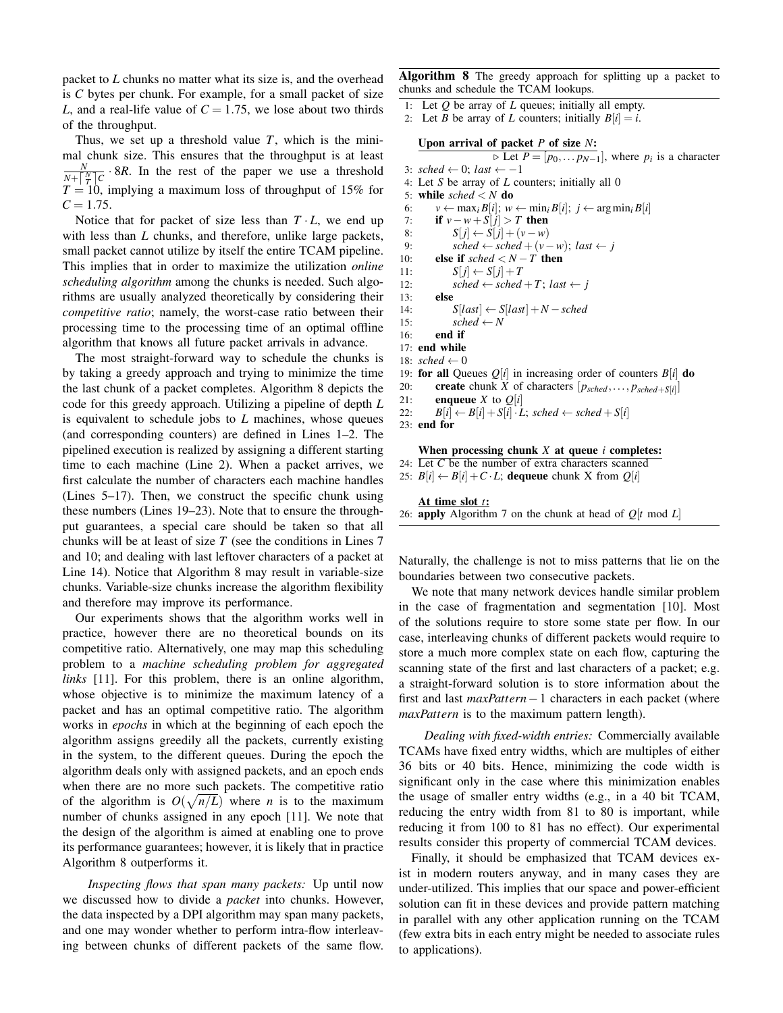packet to *L* chunks no matter what its size is, and the overhead is *C* bytes per chunk. For example, for a small packet of size *L*, and a real-life value of  $C = 1.75$ , we lose about two thirds of the throughput.

Thus, we set up a threshold value *T*, which is the minimal chunk size. This ensures that the throughput is at least  $\frac{N}{N+\lceil \frac{N}{l}\rceil}$ *c*  $\cdot$  8*R*. In the rest of the paper we use a threshold  $T = 10$ , implying a maximum loss of throughput of 15% for  $C = 1.75$ .

Notice that for packet of size less than  $T \cdot L$ , we end up with less than *L* chunks, and therefore, unlike large packets, small packet cannot utilize by itself the entire TCAM pipeline. This implies that in order to maximize the utilization *online scheduling algorithm* among the chunks is needed. Such algorithms are usually analyzed theoretically by considering their *competitive ratio*; namely, the worst-case ratio between their processing time to the processing time of an optimal offline algorithm that knows all future packet arrivals in advance.

The most straight-forward way to schedule the chunks is by taking a greedy approach and trying to minimize the time the last chunk of a packet completes. Algorithm 8 depicts the code for this greedy approach. Utilizing a pipeline of depth *L* is equivalent to schedule jobs to *L* machines, whose queues (and corresponding counters) are defined in Lines 1–2. The pipelined execution is realized by assigning a different starting time to each machine (Line 2). When a packet arrives, we first calculate the number of characters each machine handles (Lines 5–17). Then, we construct the specific chunk using these numbers (Lines 19–23). Note that to ensure the throughput guarantees, a special care should be taken so that all chunks will be at least of size *T* (see the conditions in Lines 7 and 10; and dealing with last leftover characters of a packet at Line 14). Notice that Algorithm 8 may result in variable-size chunks. Variable-size chunks increase the algorithm flexibility and therefore may improve its performance.

Our experiments shows that the algorithm works well in practice, however there are no theoretical bounds on its competitive ratio. Alternatively, one may map this scheduling problem to a *machine scheduling problem for aggregated links* [11]. For this problem, there is an online algorithm, whose objective is to minimize the maximum latency of a packet and has an optimal competitive ratio. The algorithm works in *epochs* in which at the beginning of each epoch the algorithm assigns greedily all the packets, currently existing in the system, to the different queues. During the epoch the algorithm deals only with assigned packets, and an epoch ends when there are no more such packets. The competitive ratio of the algorithm is  $O(\sqrt{n/L})$  where *n* is to the maximum number of chunks assigned in any epoch [11]. We note that the design of the algorithm is aimed at enabling one to prove its performance guarantees; however, it is likely that in practice Algorithm 8 outperforms it.

*Inspecting flows that span many packets:* Up until now we discussed how to divide a *packet* into chunks. However, the data inspected by a DPI algorithm may span many packets, and one may wonder whether to perform intra-flow interleaving between chunks of different packets of the same flow. Algorithm 8 The greedy approach for splitting up a packet to chunks and schedule the TCAM lookups.

- 1: Let *Q* be array of *L* queues; initially all empty.
- 2: Let *B* be array of *L* counters; initially  $B[i] = i$ .

# Upon arrival of packet *P* of size *N*:

```
\triangleright Let P = [p_0, \dots p_{N-1}], where p_i is a character
```

```
3: sched ← 0; last ← −1
4: Let S be array of L counters; initially all 0
```

```
5: while sched < N do
```

```
6: v \leftarrow \max_i B[i]; w \leftarrow \min_i B[i]; j \leftarrow \arg \min_i B[i]
```
7: if *v−w*+*S*[ *j*] *> T* then

8:  $S[j] \leftarrow S[j] + (v - w)$ 

9:  $\text{sched} \leftarrow \text{sched} + (v - w); \text{ last} \leftarrow j$ 

10: **else if**  $sched < N - T$  then

11:  $S[j] \leftarrow S[j] + T$ 

12: 
$$
sched \leftarrow sched + T; last \leftarrow j
$$

$$
13: \qquad \text{else}
$$

14: *S*[*last*] *← S*[*last*] +*N −sched*

15:  $\qquad \qquad \text{sched} \leftarrow N$ 

```
16: end if
```
- 17: end while
- 18:  $sched \leftarrow 0$
- 19: **for all** Queues  $Q[i]$  in increasing order of counters  $B[i]$  do
- 20: **create** chunk *X* of characters  $[p_{\text{sched}}, \ldots, p_{\text{sched}+S[i]}]$
- 21: **enqueue** *X* to  $Q[i]$

22: 
$$
B[i] \leftarrow B[i] + S[i] \cdot L
$$
;  $sched \leftarrow sched + S[i]$ 

```
23: end for
```
### When processing chunk *X* at queue *i* completes:

```
24: Let C be the number of extra characters scanned
```
25:  $B[i] \leftarrow B[i] + C \cdot L$ ; dequeue chunk X from  $Q[i]$ 

# At time slot *t*:

26: apply Algorithm 7 on the chunk at head of *Q*[*t* mod *L*]

Naturally, the challenge is not to miss patterns that lie on the boundaries between two consecutive packets.

We note that many network devices handle similar problem in the case of fragmentation and segmentation [10]. Most of the solutions require to store some state per flow. In our case, interleaving chunks of different packets would require to store a much more complex state on each flow, capturing the scanning state of the first and last characters of a packet; e.g. a straight-forward solution is to store information about the first and last *maxPattern−*1 characters in each packet (where *maxPattern* is to the maximum pattern length).

*Dealing with fixed-width entries:* Commercially available TCAMs have fixed entry widths, which are multiples of either 36 bits or 40 bits. Hence, minimizing the code width is significant only in the case where this minimization enables the usage of smaller entry widths (e.g., in a 40 bit TCAM, reducing the entry width from 81 to 80 is important, while reducing it from 100 to 81 has no effect). Our experimental results consider this property of commercial TCAM devices.

Finally, it should be emphasized that TCAM devices exist in modern routers anyway, and in many cases they are under-utilized. This implies that our space and power-efficient solution can fit in these devices and provide pattern matching in parallel with any other application running on the TCAM (few extra bits in each entry might be needed to associate rules to applications).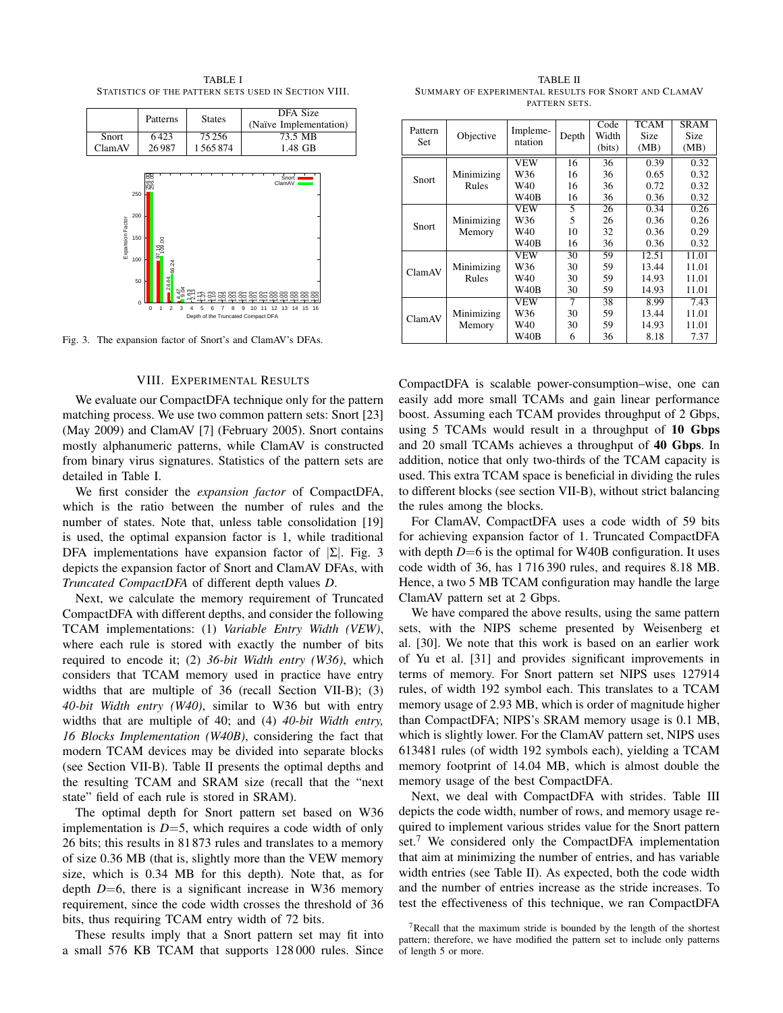TABLE I STATISTICS OF THE PATTERN SETS USED IN SECTION VIII.



Fig. 3. The expansion factor of Snort's and ClamAV's DFAs.

#### VIII. EXPERIMENTAL RESULTS

We evaluate our CompactDFA technique only for the pattern matching process. We use two common pattern sets: Snort [23] (May 2009) and ClamAV [7] (February 2005). Snort contains mostly alphanumeric patterns, while ClamAV is constructed from binary virus signatures. Statistics of the pattern sets are detailed in Table I.

We first consider the *expansion factor* of CompactDFA, which is the ratio between the number of rules and the number of states. Note that, unless table consolidation [19] is used, the optimal expansion factor is 1, while traditional DFA implementations have expansion factor of *|*Σ*|*. Fig. 3 depicts the expansion factor of Snort and ClamAV DFAs, with *Truncated CompactDFA* of different depth values *D*.

Next, we calculate the memory requirement of Truncated CompactDFA with different depths, and consider the following TCAM implementations: (1) *Variable Entry Width (VEW)*, where each rule is stored with exactly the number of bits required to encode it; (2) *36-bit Width entry (W36)*, which considers that TCAM memory used in practice have entry widths that are multiple of 36 (recall Section VII-B); (3) *40-bit Width entry (W40)*, similar to W36 but with entry widths that are multiple of 40; and (4) *40-bit Width entry, 16 Blocks Implementation (W40B)*, considering the fact that modern TCAM devices may be divided into separate blocks (see Section VII-B). Table II presents the optimal depths and the resulting TCAM and SRAM size (recall that the "next state" field of each rule is stored in SRAM).

The optimal depth for Snort pattern set based on W36 implementation is  $D=5$ , which requires a code width of only 26 bits; this results in 81 873 rules and translates to a memory of size 0.36 MB (that is, slightly more than the VEW memory size, which is 0.34 MB for this depth). Note that, as for depth  $D=6$ , there is a significant increase in W36 memory requirement, since the code width crosses the threshold of 36 bits, thus requiring TCAM entry width of 72 bits.

These results imply that a Snort pattern set may fit into a small 576 KB TCAM that supports 128 000 rules. Since

TABLE II SUMMARY OF EXPERIMENTAL RESULTS FOR SNORT AND CLAMAV PATTERN SETS.

| Pattern<br><b>Set</b> | Objective            | Impleme-<br>ntation | Depth | Code<br>Width<br>(bits) | TCAM<br>Size<br>(MB) | <b>SRAM</b><br>Size<br>(MB) |
|-----------------------|----------------------|---------------------|-------|-------------------------|----------------------|-----------------------------|
|                       | Minimizing           | <b>VEW</b>          | 16    | 36                      | 0.39                 | 0.32                        |
|                       |                      | W36                 | 16    | 36                      | 0.65                 | 0.32                        |
| Snort                 | Rules                | W40                 | 16    | 36                      | 0.72                 | 0.32                        |
|                       |                      | W40B                | 16    | 36                      | 0.36                 | 0.32                        |
|                       | Minimizing<br>Memory | <b>VEW</b>          | 5     | 26                      | 0.34                 | 0.26                        |
|                       |                      | W36                 | 5     | 26                      | 0.36                 | 0.26                        |
| Snort                 |                      | W40                 | 10    | 32                      | 0.36                 | 0.29                        |
|                       |                      | W40B                | 16    | 36                      | 0.36                 | 0.32                        |
|                       | Minimizing<br>Rules  | VEW                 | 30    | 59                      | 12.51                | 11.01                       |
| ClamAV                |                      | W36                 | 30    | 59                      | 13.44                | 11.01                       |
|                       |                      | W40                 | 30    | 59                      | 14.93                | 11.01                       |
|                       |                      | W40B                | 30    | 59                      | 14.93                | 11.01                       |
| ClamAV                | Minimizing<br>Memory | <b>VEW</b>          | 7     | 38                      | 8.99                 | 7.43                        |
|                       |                      | W36                 | 30    | 59                      | 13.44                | 11.01                       |
|                       |                      | W40                 | 30    | 59                      | 14.93                | 11.01                       |
|                       |                      | W40B                | 6     | 36                      | 8.18                 | 7.37                        |

CompactDFA is scalable power-consumption–wise, one can easily add more small TCAMs and gain linear performance boost. Assuming each TCAM provides throughput of 2 Gbps, using 5 TCAMs would result in a throughput of 10 Gbps and 20 small TCAMs achieves a throughput of 40 Gbps. In addition, notice that only two-thirds of the TCAM capacity is used. This extra TCAM space is beneficial in dividing the rules to different blocks (see section VII-B), without strict balancing the rules among the blocks.

For ClamAV, CompactDFA uses a code width of 59 bits for achieving expansion factor of 1. Truncated CompactDFA with depth  $D=6$  is the optimal for W40B configuration. It uses code width of 36, has 1 716 390 rules, and requires 8.18 MB. Hence, a two 5 MB TCAM configuration may handle the large ClamAV pattern set at 2 Gbps.

We have compared the above results, using the same pattern sets, with the NIPS scheme presented by Weisenberg et al. [30]. We note that this work is based on an earlier work of Yu et al. [31] and provides significant improvements in terms of memory. For Snort pattern set NIPS uses 127914 rules, of width 192 symbol each. This translates to a TCAM memory usage of 2.93 MB, which is order of magnitude higher than CompactDFA; NIPS's SRAM memory usage is 0.1 MB, which is slightly lower. For the ClamAV pattern set, NIPS uses 613481 rules (of width 192 symbols each), yielding a TCAM memory footprint of 14.04 MB, which is almost double the memory usage of the best CompactDFA.

Next, we deal with CompactDFA with strides. Table III depicts the code width, number of rows, and memory usage required to implement various strides value for the Snort pattern set.<sup>7</sup> We considered only the CompactDFA implementation that aim at minimizing the number of entries, and has variable width entries (see Table II). As expected, both the code width and the number of entries increase as the stride increases. To test the effectiveness of this technique, we ran CompactDFA

 $7$ Recall that the maximum stride is bounded by the length of the shortest pattern; therefore, we have modified the pattern set to include only patterns of length 5 or more.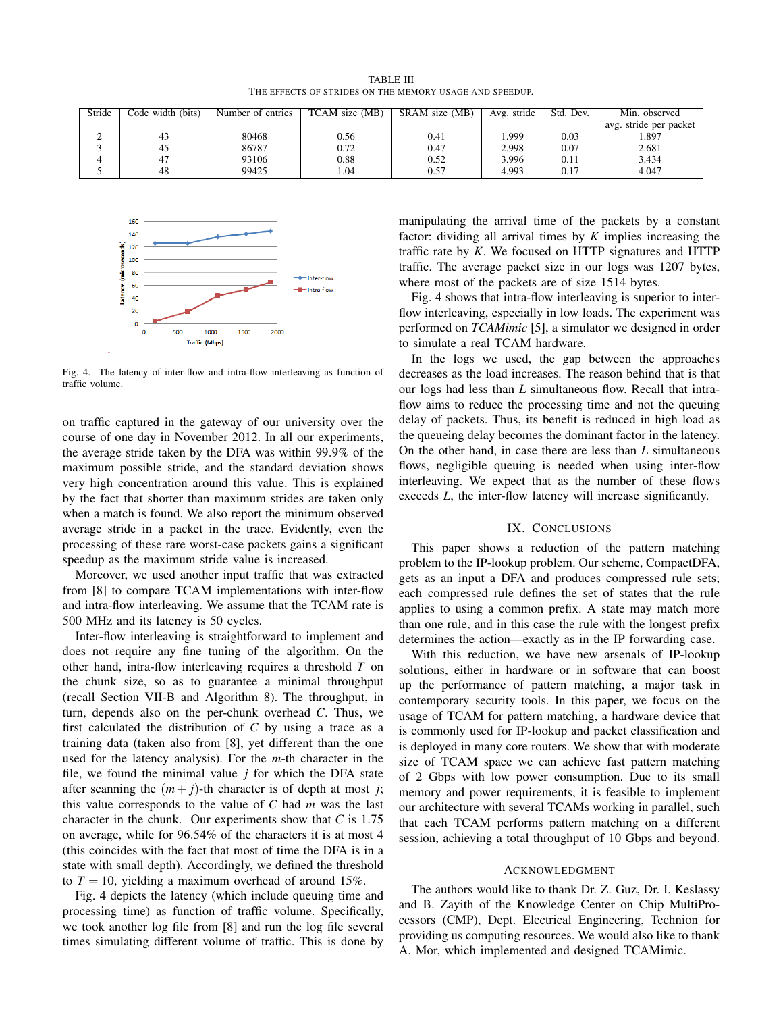TABLE III THE EFFECTS OF STRIDES ON THE MEMORY USAGE AND SPEEDUP.

| Stride | Code width (bits) | Number of entries | TCAM size (MB) | SRAM size (MB) | Avg. stride | Std. Dev. | Min. observed          |  |
|--------|-------------------|-------------------|----------------|----------------|-------------|-----------|------------------------|--|
|        |                   |                   |                |                |             |           | avg. stride per packet |  |
|        | 43                | 80468             | 0.56           | 0.41           | .999        | 0.03      | 897ء                   |  |
|        | 45                | 86787             | 0.72           | 0.47           | 2.998       | 0.07      | 2.681                  |  |
|        | 47                | 93106             | 0.88           | 0.52           | 3.996       | 0.11      | 3.434                  |  |
|        | 48                | 99425             | .04            | 0.57           | 4.993       | 0.17      | 4.047                  |  |



Fig. 4. The latency of inter-flow and intra-flow interleaving as function of traffic volume.

on traffic captured in the gateway of our university over the course of one day in November 2012. In all our experiments, the average stride taken by the DFA was within 99*.*9% of the maximum possible stride, and the standard deviation shows very high concentration around this value. This is explained by the fact that shorter than maximum strides are taken only when a match is found. We also report the minimum observed average stride in a packet in the trace. Evidently, even the processing of these rare worst-case packets gains a significant speedup as the maximum stride value is increased.

Moreover, we used another input traffic that was extracted from [8] to compare TCAM implementations with inter-flow and intra-flow interleaving. We assume that the TCAM rate is 500 MHz and its latency is 50 cycles.

Inter-flow interleaving is straightforward to implement and does not require any fine tuning of the algorithm. On the other hand, intra-flow interleaving requires a threshold *T* on the chunk size, so as to guarantee a minimal throughput (recall Section VII-B and Algorithm 8). The throughput, in turn, depends also on the per-chunk overhead *C*. Thus, we first calculated the distribution of *C* by using a trace as a training data (taken also from [8], yet different than the one used for the latency analysis). For the *m*-th character in the file, we found the minimal value *j* for which the DFA state after scanning the  $(m + j)$ -th character is of depth at most *j*; this value corresponds to the value of *C* had *m* was the last character in the chunk. Our experiments show that *C* is 1*.*75 on average, while for 96*.*54% of the characters it is at most 4 (this coincides with the fact that most of time the DFA is in a state with small depth). Accordingly, we defined the threshold to  $T = 10$ , yielding a maximum overhead of around 15%.

Fig. 4 depicts the latency (which include queuing time and processing time) as function of traffic volume. Specifically, we took another log file from [8] and run the log file several times simulating different volume of traffic. This is done by manipulating the arrival time of the packets by a constant factor: dividing all arrival times by *K* implies increasing the traffic rate by *K*. We focused on HTTP signatures and HTTP traffic. The average packet size in our logs was 1207 bytes, where most of the packets are of size 1514 bytes.

Fig. 4 shows that intra-flow interleaving is superior to interflow interleaving, especially in low loads. The experiment was performed on *TCAMimic* [5], a simulator we designed in order to simulate a real TCAM hardware.

In the logs we used, the gap between the approaches decreases as the load increases. The reason behind that is that our logs had less than *L* simultaneous flow. Recall that intraflow aims to reduce the processing time and not the queuing delay of packets. Thus, its benefit is reduced in high load as the queueing delay becomes the dominant factor in the latency. On the other hand, in case there are less than *L* simultaneous flows, negligible queuing is needed when using inter-flow interleaving. We expect that as the number of these flows exceeds *L*, the inter-flow latency will increase significantly.

# IX. CONCLUSIONS

This paper shows a reduction of the pattern matching problem to the IP-lookup problem. Our scheme, CompactDFA, gets as an input a DFA and produces compressed rule sets; each compressed rule defines the set of states that the rule applies to using a common prefix. A state may match more than one rule, and in this case the rule with the longest prefix determines the action—exactly as in the IP forwarding case.

With this reduction, we have new arsenals of IP-lookup solutions, either in hardware or in software that can boost up the performance of pattern matching, a major task in contemporary security tools. In this paper, we focus on the usage of TCAM for pattern matching, a hardware device that is commonly used for IP-lookup and packet classification and is deployed in many core routers. We show that with moderate size of TCAM space we can achieve fast pattern matching of 2 Gbps with low power consumption. Due to its small memory and power requirements, it is feasible to implement our architecture with several TCAMs working in parallel, such that each TCAM performs pattern matching on a different session, achieving a total throughput of 10 Gbps and beyond.

## ACKNOWLEDGMENT

The authors would like to thank Dr. Z. Guz, Dr. I. Keslassy and B. Zayith of the Knowledge Center on Chip MultiProcessors (CMP), Dept. Electrical Engineering, Technion for providing us computing resources. We would also like to thank A. Mor, which implemented and designed TCAMimic.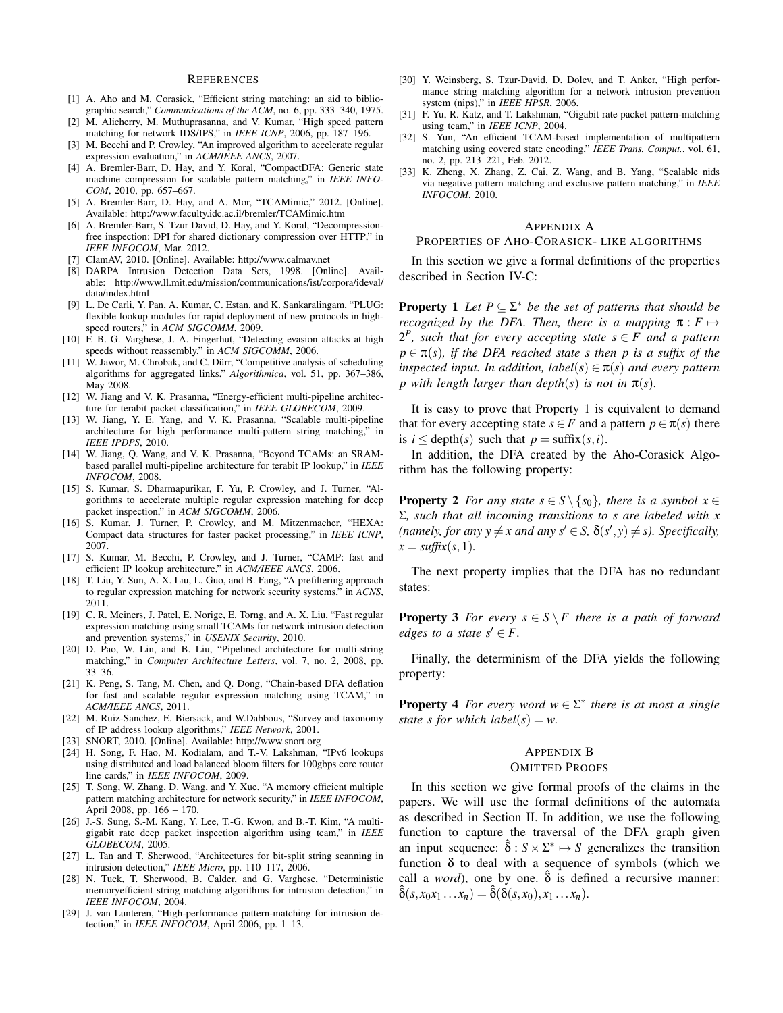#### **REFERENCES**

- [1] A. Aho and M. Corasick, "Efficient string matching: an aid to bibliographic search," *Communications of the ACM*, no. 6, pp. 333–340, 1975.
- [2] M. Alicherry, M. Muthuprasanna, and V. Kumar, "High speed pattern matching for network IDS/IPS," in *IEEE ICNP*, 2006, pp. 187–196.
- [3] M. Becchi and P. Crowley, "An improved algorithm to accelerate regular expression evaluation," in *ACM/IEEE ANCS*, 2007.
- [4] A. Bremler-Barr, D. Hay, and Y. Koral, "CompactDFA: Generic state machine compression for scalable pattern matching," in *IEEE INFO-COM*, 2010, pp. 657–667.
- [5] A. Bremler-Barr, D. Hay, and A. Mor, "TCAMimic," 2012. [Online]. Available: http://www.faculty.idc.ac.il/bremler/TCAMimic.htm
- [6] A. Bremler-Barr, S. Tzur David, D. Hay, and Y. Koral, "Decompressionfree inspection: DPI for shared dictionary compression over HTTP," in *IEEE INFOCOM*, Mar. 2012.
- [7] ClamAV, 2010. [Online]. Available: http://www.calmav.net
- [8] DARPA Intrusion Detection Data Sets, 1998. [Online]. Available: http://www.ll.mit.edu/mission/communications/ist/corpora/ideval/ data/index.html
- [9] L. De Carli, Y. Pan, A. Kumar, C. Estan, and K. Sankaralingam, "PLUG: flexible lookup modules for rapid deployment of new protocols in highspeed routers," in *ACM SIGCOMM*, 2009.
- [10] F. B. G. Varghese, J. A. Fingerhut, "Detecting evasion attacks at high speeds without reassembly," in *ACM SIGCOMM*, 2006.
- [11] W. Jawor, M. Chrobak, and C. Dürr, "Competitive analysis of scheduling algorithms for aggregated links," *Algorithmica*, vol. 51, pp. 367–386, May 2008.
- [12] W. Jiang and V. K. Prasanna, "Energy-efficient multi-pipeline architecture for terabit packet classification," in *IEEE GLOBECOM*, 2009.
- [13] W. Jiang, Y. E. Yang, and V. K. Prasanna, "Scalable multi-pipeline architecture for high performance multi-pattern string matching," in *IEEE IPDPS*, 2010.
- [14] W. Jiang, Q. Wang, and V. K. Prasanna, "Beyond TCAMs: an SRAMbased parallel multi-pipeline architecture for terabit IP lookup," in *IEEE INFOCOM*, 2008.
- [15] S. Kumar, S. Dharmapurikar, F. Yu, P. Crowley, and J. Turner, "Algorithms to accelerate multiple regular expression matching for deep packet inspection," in *ACM SIGCOMM*, 2006.
- [16] S. Kumar, J. Turner, P. Crowley, and M. Mitzenmacher, "HEXA: Compact data structures for faster packet processing," in *IEEE ICNP*, 2007.
- [17] S. Kumar, M. Becchi, P. Crowley, and J. Turner, "CAMP: fast and efficient IP lookup architecture," in *ACM/IEEE ANCS*, 2006.
- [18] T. Liu, Y. Sun, A. X. Liu, L. Guo, and B. Fang, "A prefiltering approach to regular expression matching for network security systems," in *ACNS*, 2011.
- [19] C. R. Meiners, J. Patel, E. Norige, E. Torng, and A. X. Liu, "Fast regular expression matching using small TCAMs for network intrusion detection and prevention systems," in *USENIX Security*, 2010.
- [20] D. Pao, W. Lin, and B. Liu, "Pipelined architecture for multi-string matching," in *Computer Architecture Letters*, vol. 7, no. 2, 2008, pp. 33–36.
- [21] K. Peng, S. Tang, M. Chen, and Q. Dong, "Chain-based DFA deflation for fast and scalable regular expression matching using TCAM," in *ACM/IEEE ANCS*, 2011.
- [22] M. Ruiz-Sanchez, E. Biersack, and W.Dabbous, "Survey and taxonomy of IP address lookup algorithms," *IEEE Network*, 2001.
- [23] SNORT, 2010. [Online]. Available: http://www.snort.org
- [24] H. Song, F. Hao, M. Kodialam, and T.-V. Lakshman, "IPv6 lookups using distributed and load balanced bloom filters for 100gbps core router line cards," in *IEEE INFOCOM*, 2009.
- [25] T. Song, W. Zhang, D. Wang, and Y. Xue, "A memory efficient multiple pattern matching architecture for network security," in *IEEE INFOCOM*, April 2008, pp. 166 – 170.
- [26] J.-S. Sung, S.-M. Kang, Y. Lee, T.-G. Kwon, and B.-T. Kim, "A multigigabit rate deep packet inspection algorithm using tcam," in *IEEE GLOBECOM*, 2005.
- [27] L. Tan and T. Sherwood, "Architectures for bit-split string scanning in intrusion detection," *IEEE Micro*, pp. 110–117, 2006.
- [28] N. Tuck, T. Sherwood, B. Calder, and G. Varghese, "Deterministic memoryefficient string matching algorithms for intrusion detection," in *IEEE INFOCOM*, 2004.
- [29] J. van Lunteren, "High-performance pattern-matching for intrusion detection," in *IEEE INFOCOM*, April 2006, pp. 1–13.
- [30] Y. Weinsberg, S. Tzur-David, D. Dolev, and T. Anker, "High performance string matching algorithm for a network intrusion prevention system (nips)," in *IEEE HPSR*, 2006.
- [31] F. Yu, R. Katz, and T. Lakshman, "Gigabit rate packet pattern-matching using tcam," in *IEEE ICNP*, 2004.
- [32] S. Yun, "An efficient TCAM-based implementation of multipattern matching using covered state encoding," *IEEE Trans. Comput.*, vol. 61, no. 2, pp. 213–221, Feb. 2012.
- [33] K. Zheng, X. Zhang, Z. Cai, Z. Wang, and B. Yang, "Scalable nids via negative pattern matching and exclusive pattern matching," in *IEEE INFOCOM*, 2010.

## APPENDIX A

#### PROPERTIES OF AHO-CORASICK- LIKE ALGORITHMS

In this section we give a formal definitions of the properties described in Section IV-C:

**Property 1** Let  $P \subseteq \Sigma^*$  be the set of patterns that should be *recognized by the DFA. Then, there is a mapping*  $\pi$ :  $F \mapsto$ 2 *P , such that for every accepting state s ∈ F and a pattern*  $p \in \pi(s)$ *, if the DFA reached state s then p is a suffix of the inspected input. In addition, label*( $s$ )  $\in \pi(s)$  *and every pattern p* with length larger than depth(s) is not in  $\pi(s)$ .

It is easy to prove that Property 1 is equivalent to demand that for every accepting state  $s \in F$  and a pattern  $p \in \pi(s)$  there is  $i \leq$  depth(s) such that  $p = \text{suffix}(s, i)$ .

In addition, the DFA created by the Aho-Corasick Algorithm has the following property:

**Property 2** *For any state*  $s \in S \setminus \{s_0\}$ *, there is a symbol*  $x \in$ Σ*, such that all incoming transitions to s are labeled with x*  $(namely, for any  $y \neq x$  and any  $s' \in S$ ,  $\delta(s', y) \neq s$ ). Specifically,$  $x = \text{suffix}(s,1)$ .

The next property implies that the DFA has no redundant states:

**Property 3** *For every*  $s \in S \setminus F$  *there is a path of forward edges to a state*  $s' \in F$ .

Finally, the determinism of the DFA yields the following property:

**Property 4** For every word  $w \in \Sigma^*$  there is at most a single *state s for which label* $(s) = w$ .

#### APPENDIX B

#### OMITTED PROOFS

In this section we give formal proofs of the claims in the papers. We will use the formal definitions of the automata as described in Section II. In addition, we use the following function to capture the traversal of the DFA graph given an input sequence:  $\hat{\delta}: S \times \Sigma^* \mapsto S$  generalizes the transition function δ to deal with a sequence of symbols (which we call a *word*), one by one.  $\hat{\delta}$  is defined a recursive manner:  $\hat{\delta}(s, x_0x_1 \dots x_n) = \hat{\delta}(\delta(s, x_0), x_1 \dots x_n).$